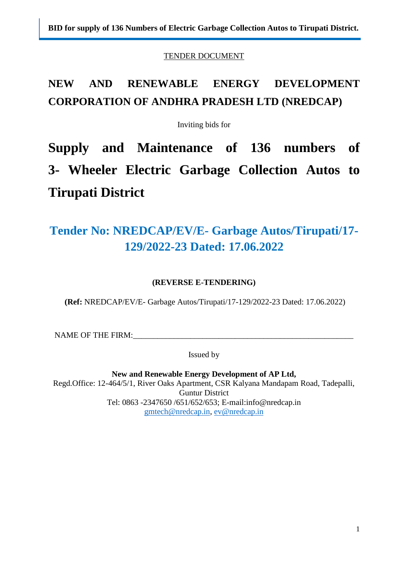TENDER DOCUMENT

# **NEW AND RENEWABLE ENERGY DEVELOPMENT CORPORATION OF ANDHRA PRADESH LTD (NREDCAP)**

Inviting bids for

**Supply and Maintenance of 136 numbers of 3- Wheeler Electric Garbage Collection Autos to Tirupati District** 

# **Tender No: NREDCAP/EV/E- Garbage Autos/Tirupati/17- 129/2022-23 Dated: 17.06.2022**

## **(REVERSE E-TENDERING)**

**(Ref:** NREDCAP/EV/E- Garbage Autos/Tirupati/17-129/2022-23 Dated: 17.06.2022)

NAME OF THE FIRM:

Issued by

**New and Renewable Energy Development of AP Ltd,**  Regd.Office: 12-464/5/1, River Oaks Apartment, CSR Kalyana Mandapam Road, Tadepalli, Guntur District Tel: 0863 -2347650 /651/652/653; E-mail[:info@nredcap.in](mailto:info@nredcap.in) [gmtech@nredcap.in,](mailto:gmtech@nredcap.in) [ev@nredcap.in](mailto:ev@nredcap.in)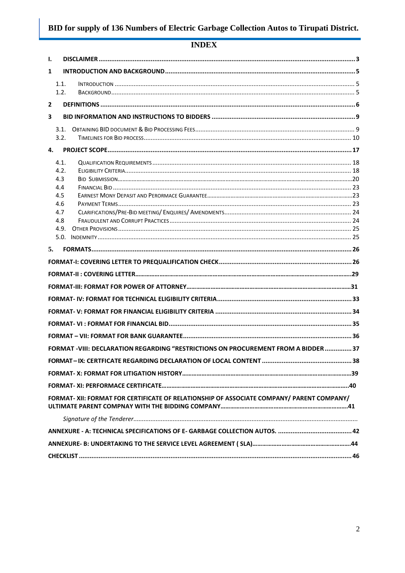## **INDEX**

| Ι.             |            |                                                                                           |  |
|----------------|------------|-------------------------------------------------------------------------------------------|--|
| $\mathbf{1}$   |            |                                                                                           |  |
|                | 1.1.       |                                                                                           |  |
|                | 1.2.       |                                                                                           |  |
| $\overline{2}$ |            |                                                                                           |  |
| 3              |            |                                                                                           |  |
|                | 3.1.       |                                                                                           |  |
|                | 3.2.       |                                                                                           |  |
| 4.             |            |                                                                                           |  |
|                | 4.1.       |                                                                                           |  |
|                | 4.2.       |                                                                                           |  |
|                | 4.3<br>4.4 |                                                                                           |  |
|                | 4.5        |                                                                                           |  |
|                | 4.6        |                                                                                           |  |
|                | 4.7<br>4.8 |                                                                                           |  |
|                | 4.9.       |                                                                                           |  |
|                |            |                                                                                           |  |
| 5.             |            |                                                                                           |  |
|                |            |                                                                                           |  |
|                |            |                                                                                           |  |
|                |            |                                                                                           |  |
|                |            |                                                                                           |  |
|                |            |                                                                                           |  |
|                |            |                                                                                           |  |
|                |            |                                                                                           |  |
|                |            | FORMAT -VIII: DECLARATION REGARDING "RESTRICTIONS ON PROCUREMENT FROM A BIDDER  37        |  |
|                |            |                                                                                           |  |
|                |            |                                                                                           |  |
|                |            |                                                                                           |  |
|                |            | FORMAT- XII: FORMAT FOR CERTIFICATE OF RELATIONSHIP OF ASSOCIATE COMPANY/ PARENT COMPANY/ |  |
|                |            |                                                                                           |  |
|                |            |                                                                                           |  |
|                |            |                                                                                           |  |
|                |            |                                                                                           |  |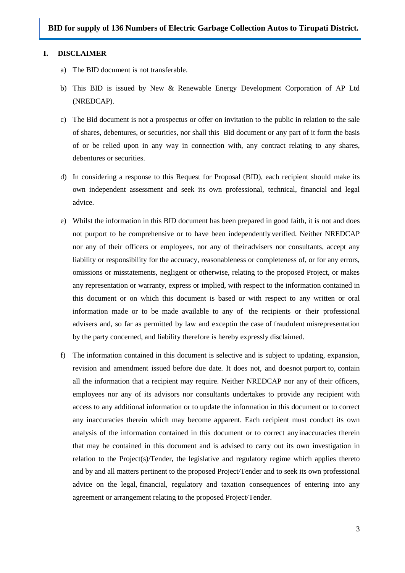#### <span id="page-2-0"></span>**I. DISCLAIMER**

- a) The BID document is not transferable.
- b) This BID is issued by New & Renewable Energy Development Corporation of AP Ltd (NREDCAP).
- c) The Bid document is not a prospectus or offer on invitation to the public in relation to the sale of shares, debentures, or securities, nor shall this Bid document or any part of it form the basis of or be relied upon in any way in connection with, any contract relating to any shares, debentures or securities.
- d) In considering a response to this Request for Proposal (BID), each recipient should make its own independent assessment and seek its own professional, technical, financial and legal advice.
- e) Whilst the information in this BID document has been prepared in good faith, it is not and does not purport to be comprehensive or to have been independentlyverified. Neither NREDCAP nor any of their officers or employees, nor any of their advisers nor consultants, accept any liability or responsibility for the accuracy, reasonableness or completeness of, or for any errors, omissions or misstatements, negligent or otherwise, relating to the proposed Project, or makes any representation or warranty, express or implied, with respect to the information contained in this document or on which this document is based or with respect to any written or oral information made or to be made available to any of the recipients or their professional advisers and, so far as permitted by law and exceptin the case of fraudulent misrepresentation by the party concerned, and liability therefore is hereby expressly disclaimed.
- f) The information contained in this document is selective and is subject to updating, expansion, revision and amendment issued before due date. It does not, and doesnot purport to, contain all the information that a recipient may require. Neither NREDCAP nor any of their officers, employees nor any of its advisors nor consultants undertakes to provide any recipient with access to any additional information or to update the information in this document or to correct any inaccuracies therein which may become apparent. Each recipient must conduct its own analysis of the information contained in this document or to correct anyinaccuracies therein that may be contained in this document and is advised to carry out its own investigation in relation to the Project(s)/Tender, the legislative and regulatory regime which applies thereto and by and all matters pertinent to the proposed Project/Tender and to seek its own professional advice on the legal, financial, regulatory and taxation consequences of entering into any agreement or arrangement relating to the proposed Project/Tender.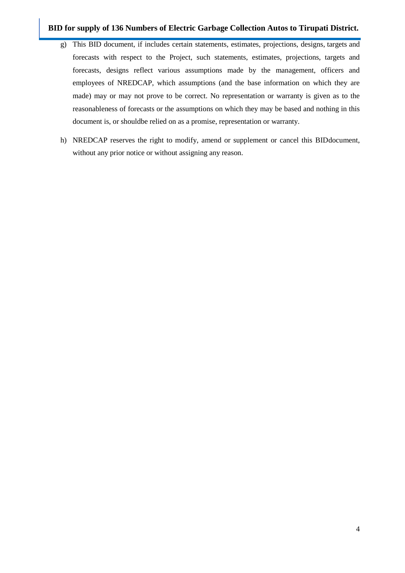- g) This BID document, if includes certain statements, estimates, projections, designs, targets and forecasts with respect to the Project, such statements, estimates, projections, targets and forecasts, designs reflect various assumptions made by the management, officers and employees of NREDCAP, which assumptions (and the base information on which they are made) may or may not prove to be correct. No representation or warranty is given as to the reasonableness of forecasts or the assumptions on which they may be based and nothing in this document is, or shouldbe relied on as a promise, representation or warranty.
- h) NREDCAP reserves the right to modify, amend or supplement or cancel this BIDdocument, without any prior notice or without assigning any reason.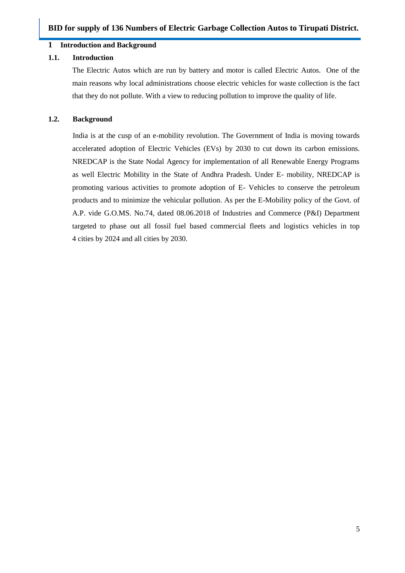#### <span id="page-4-0"></span>**1 Introduction and Background**

#### <span id="page-4-1"></span>**1.1. Introduction**

The Electric Autos which are run by battery and motor is called Electric Autos. One of the main reasons why local administrations choose electric vehicles for waste collection is the fact that they do not pollute. With a view to reducing pollution to improve the quality of life.

#### <span id="page-4-2"></span>**1.2. Background**

India is at the cusp of an e-mobility revolution. The Government of India is moving towards accelerated adoption of Electric Vehicles (EVs) by 2030 to cut down its carbon emissions. NREDCAP is the State Nodal Agency for implementation of all Renewable Energy Programs as well Electric Mobility in the State of Andhra Pradesh. Under E- mobility, NREDCAP is promoting various activities to promote adoption of E- Vehicles to conserve the petroleum products and to minimize the vehicular pollution. As per the E-Mobility policy of the Govt. of A.P. vide G.O.MS. No.74, dated 08.06.2018 of Industries and Commerce (P&I) Department targeted to phase out all fossil fuel based commercial fleets and logistics vehicles in top 4 cities by 2024 and all cities by 2030.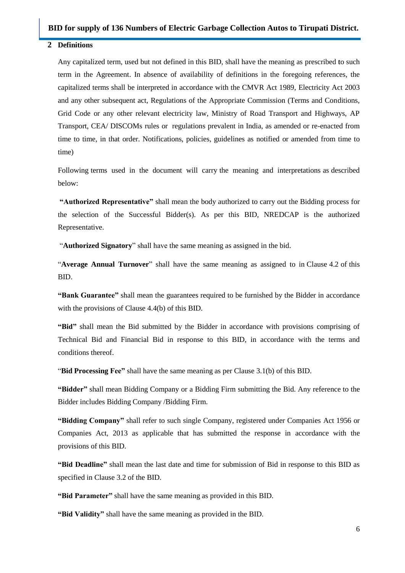#### <span id="page-5-0"></span>**2 Definitions**

Any capitalized term, used but not defined in this BID, shall have the meaning as prescribed to such term in the Agreement. In absence of availability of definitions in the foregoing references, the capitalized terms shall be interpreted in accordance with the CMVR Act 1989, Electricity Act 2003 and any other subsequent act, Regulations of the Appropriate Commission (Terms and Conditions, Grid Code or any other relevant electricity law, Ministry of Road Transport and Highways, AP Transport, CEA/ DISCOMs rules or regulations prevalent in India, as amended or re-enacted from time to time, in that order. Notifications, policies, guidelines as notified or amended from time to time)

Following terms used in the document will carry the meaning and interpretations as described below:

**"Authorized Representative"** shall mean the body authorized to carry out the Bidding process for the selection of the Successful Bidder(s). As per this BID, NREDCAP is the authorized Representative.

"**Authorized Signatory**" shall have the same meaning as assigned in the bid.

"**Average Annual Turnover**" shall have the same meaning as assigned to in Clause 4.2 of this BID.

**"Bank Guarantee"** shall mean the guarantees required to be furnished by the Bidder in accordance with the provisions of Clause 4.4(b) of this BID.

**"Bid"** shall mean the Bid submitted by the Bidder in accordance with provisions comprising of Technical Bid and Financial Bid in response to this BID, in accordance with the terms and conditions thereof.

"**Bid Processing Fee"** shall have the same meaning as per Clause 3.1(b) of this BID.

**"Bidder"** shall mean Bidding Company or a Bidding Firm submitting the Bid. Any reference to the Bidder includes Bidding Company /Bidding Firm.

**"Bidding Company"** shall refer to such single Company, registered under Companies Act 1956 or Companies Act, 2013 as applicable that has submitted the response in accordance with the provisions of this BID.

**"Bid Deadline"** shall mean the last date and time for submission of Bid in response to this BID as specified in Clause 3.2 of the BID.

**"Bid Parameter"** shall have the same meaning as provided in this BID.

**"Bid Validity"** shall have the same meaning as provided in the BID.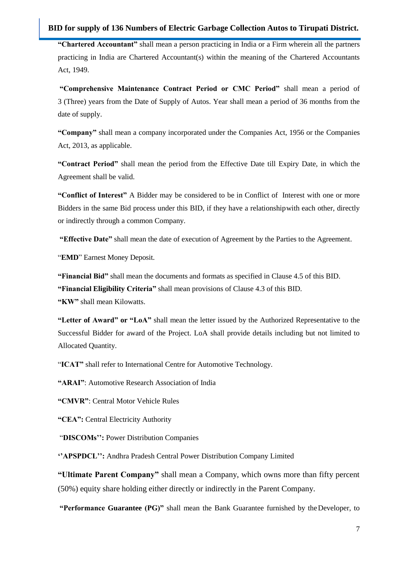**"Chartered Accountant"** shall mean a person practicing in India or a Firm wherein all the partners practicing in India are Chartered Accountant(s) within the meaning of the Chartered Accountants Act, 1949.

**"Comprehensive Maintenance Contract Period or CMC Period"** shall mean a period of 3 (Three) years from the Date of Supply of Autos. Year shall mean a period of 36 months from the date of supply.

**"Company"** shall mean a company incorporated under the Companies Act, 1956 or the Companies Act, 2013, as applicable.

**"Contract Period"** shall mean the period from the Effective Date till Expiry Date, in which the Agreement shall be valid.

**"Conflict of Interest"** A Bidder may be considered to be in Conflict of Interest with one or more Bidders in the same Bid process under this BID, if they have a relationshipwith each other, directly or indirectly through a common Company.

**"Effective Date"** shall mean the date of execution of Agreement by the Parties to the Agreement.

"**EMD**" Earnest Money Deposit.

**"Financial Bid"** shall mean the documents and formats as specified in Clause 4.5 of this BID.

**"Financial Eligibility Criteria"** shall mean provisions of Clause 4.3 of this BID.

**"KW"** shall mean Kilowatts.

**"Letter of Award" or "LoA"** shall mean the letter issued by the Authorized Representative to the Successful Bidder for award of the Project. LoA shall provide details including but not limited to Allocated Quantity.

"**ICAT"** shall refer to International Centre for Automotive Technology.

**"ARAI"**: Automotive Research Association of India

**"CMVR"**: Central Motor Vehicle Rules

**"CEA":** Central Electricity Authority

"**DISCOMs"":** Power Distribution Companies

"APSPDCL": Andhra Pradesh Central Power Distribution Company Limited

**"Ultimate Parent Company"** shall mean a Company, which owns more than fifty percent (50%) equity share holding either directly or indirectly in the Parent Company.

**"Performance Guarantee (PG)"** shall mean the Bank Guarantee furnished by the Developer, to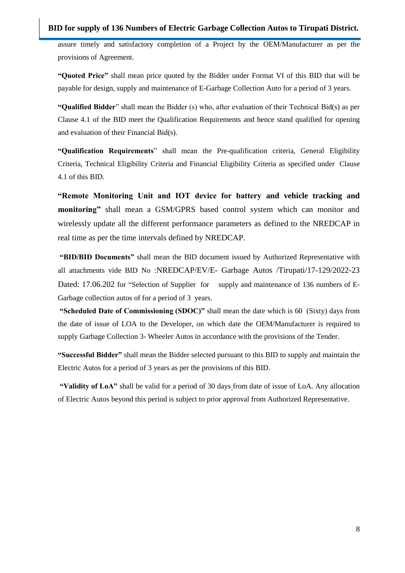assure timely and satisfactory completion of a Project by the OEM/Manufacturer as per the provisions of Agreement.

**"Quoted Price"** shall mean price quoted by the Bidder under Format VI of this BID that will be payable for design, supply and maintenance of E-Garbage Collection Auto for a period of 3 years.

**"Qualified Bidder**" shall mean the Bidder (s) who, after evaluation of their Technical Bid(s) as per Clause 4.1 of the BID meet the Qualification Requirements and hence stand qualified for opening and evaluation of their Financial Bid(s).

**"Qualification Requirements**" shall mean the Pre-qualification criteria, General Eligibility Criteria, Technical Eligibility Criteria and Financial Eligibility Criteria as specified under Clause 4.1 of this BID.

**"Remote Monitoring Unit and IOT device for battery and vehicle tracking and monitoring"** shall mean a GSM/GPRS based control system which can monitor and wirelessly update all the different performance parameters as defined to the NREDCAP in real time as per the time intervals defined by NREDCAP.

**"BID/BID Documents"** shall mean the BID document issued by Authorized Representative with all attachments vide BID No :NREDCAP/EV/E- Garbage Autos /Tirupati/17-129/2022-23 Dated: 17.06.202 for "Selection of Supplier for supply and maintenance of 136 numbers of E-Garbage collection autos of for a period of 3 years.

**"Scheduled Date of Commissioning (SDOC)"** shall mean the date which is 60 (Sixty) days from the date of issue of LOA to the Developer, on which date the OEM/Manufacturer is required to supply Garbage Collection 3- Wheeler Autos in accordance with the provisions of the Tender.

**"Successful Bidder"** shall mean the Bidder selected pursuant to this BID to supply and maintain the Electric Autos for a period of 3 years as per the provisions of this BID.

**"Validity of LoA"** shall be valid for a period of 30 days from date of issue of LoA. Any allocation of Electric Autos beyond this period is subject to prior approval from Authorized Representative.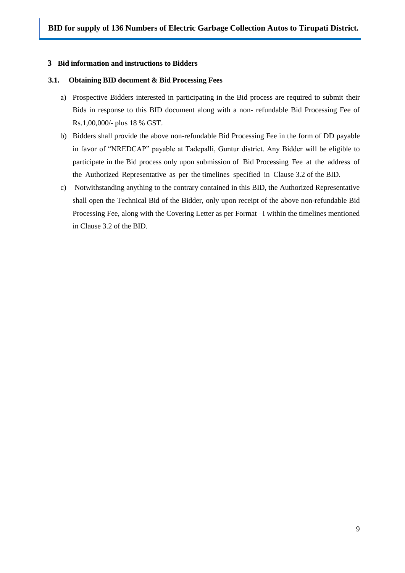#### <span id="page-8-0"></span>**3 Bid information and instructions to Bidders**

#### <span id="page-8-1"></span>**3.1. Obtaining BID document & Bid Processing Fees**

- a) Prospective Bidders interested in participating in the Bid process are required to submit their Bids in response to this BID document along with a non- refundable Bid Processing Fee of Rs.1,00,000/- plus 18 % GST.
- b) Bidders shall provide the above non-refundable Bid Processing Fee in the form of DD payable in favor of "NREDCAP" payable at Tadepalli, Guntur district. Any Bidder will be eligible to participate in the Bid process only upon submission of Bid Processing Fee at the address of the Authorized Representative as per the timelines specified in Clause 3.2 of the BID.
- c) Notwithstanding anything to the contrary contained in this BID, the Authorized Representative shall open the Technical Bid of the Bidder, only upon receipt of the above non-refundable Bid Processing Fee, along with the Covering Letter as per Format –I within the timelines mentioned in Clause 3.2 of the BID.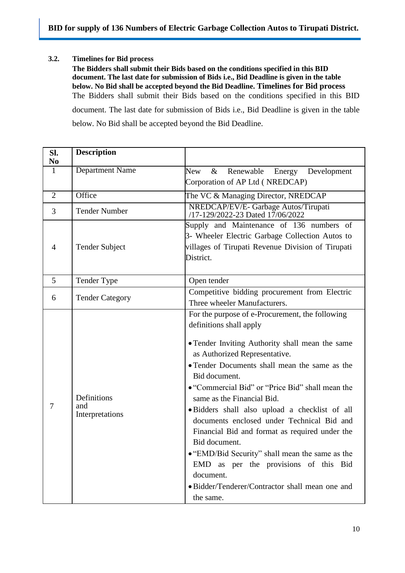#### <span id="page-9-0"></span>**3.2. Timelines for Bid process**

**The Bidders shall submit their Bids based on the conditions specified in this BID document. The last date for submission of Bids i.e., Bid Deadline is given in the table below. No Bid shall be accepted beyond the Bid Deadline. Timelines for Bid process** The Bidders shall submit their Bids based on the conditions specified in this BID document. The last date for submission of Bids i.e., Bid Deadline is given in the table below. No Bid shall be accepted beyond the Bid Deadline.

| SI.<br>N <sub>0</sub> | <b>Description</b>                    |                                                                                                                                                                                                                                                                                                                                                                                                                                                                                                                                                                                                                                                                |  |  |  |  |  |  |  |
|-----------------------|---------------------------------------|----------------------------------------------------------------------------------------------------------------------------------------------------------------------------------------------------------------------------------------------------------------------------------------------------------------------------------------------------------------------------------------------------------------------------------------------------------------------------------------------------------------------------------------------------------------------------------------------------------------------------------------------------------------|--|--|--|--|--|--|--|
| $\mathbf{1}$          | Department Name                       | <b>New</b><br>$\&$<br>Renewable<br>Energy Development                                                                                                                                                                                                                                                                                                                                                                                                                                                                                                                                                                                                          |  |  |  |  |  |  |  |
|                       |                                       | Corporation of AP Ltd (NREDCAP)                                                                                                                                                                                                                                                                                                                                                                                                                                                                                                                                                                                                                                |  |  |  |  |  |  |  |
| $\overline{2}$        | Office                                | The VC & Managing Director, NREDCAP                                                                                                                                                                                                                                                                                                                                                                                                                                                                                                                                                                                                                            |  |  |  |  |  |  |  |
| 3                     | <b>Tender Number</b>                  | NREDCAP/EV/E- Garbage Autos/Tirupati<br>/17-129/2022-23 Dated 17/06/2022                                                                                                                                                                                                                                                                                                                                                                                                                                                                                                                                                                                       |  |  |  |  |  |  |  |
| 4                     | <b>Tender Subject</b>                 | Supply and Maintenance of 136 numbers of<br>3- Wheeler Electric Garbage Collection Autos to<br>villages of Tirupati Revenue Division of Tirupati<br>District.                                                                                                                                                                                                                                                                                                                                                                                                                                                                                                  |  |  |  |  |  |  |  |
| 5                     | Tender Type                           | Open tender                                                                                                                                                                                                                                                                                                                                                                                                                                                                                                                                                                                                                                                    |  |  |  |  |  |  |  |
| 6                     | <b>Tender Category</b>                | Competitive bidding procurement from Electric<br>Three wheeler Manufacturers.                                                                                                                                                                                                                                                                                                                                                                                                                                                                                                                                                                                  |  |  |  |  |  |  |  |
| 7                     | Definitions<br>and<br>Interpretations | For the purpose of e-Procurement, the following<br>definitions shall apply<br>• Tender Inviting Authority shall mean the same<br>as Authorized Representative.<br>• Tender Documents shall mean the same as the<br>Bid document.<br>• "Commercial Bid" or "Price Bid" shall mean the<br>same as the Financial Bid.<br>· Bidders shall also upload a checklist of all<br>documents enclosed under Technical Bid and<br>Financial Bid and format as required under the<br>Bid document.<br>• "EMD/Bid Security" shall mean the same as the<br>EMD as per the provisions of this Bid<br>document.<br>· Bidder/Tenderer/Contractor shall mean one and<br>the same. |  |  |  |  |  |  |  |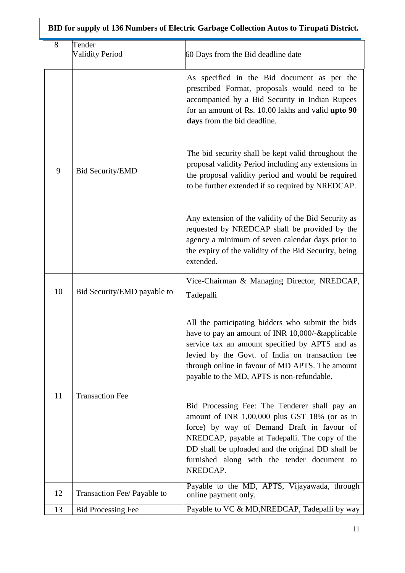|   | 8                       | Tender<br><b>Validity Period</b>                                                                                                                                                                                       | 60 Days from the Bid deadline date                                                                                                                                                                                                                                                                             |
|---|-------------------------|------------------------------------------------------------------------------------------------------------------------------------------------------------------------------------------------------------------------|----------------------------------------------------------------------------------------------------------------------------------------------------------------------------------------------------------------------------------------------------------------------------------------------------------------|
|   |                         |                                                                                                                                                                                                                        | As specified in the Bid document as per the<br>prescribed Format, proposals would need to be<br>accompanied by a Bid Security in Indian Rupees<br>for an amount of Rs. 10.00 lakhs and valid upto 90<br>days from the bid deadline.                                                                            |
| 9 | <b>Bid Security/EMD</b> | The bid security shall be kept valid throughout the<br>proposal validity Period including any extensions in<br>the proposal validity period and would be required<br>to be further extended if so required by NREDCAP. |                                                                                                                                                                                                                                                                                                                |
|   |                         |                                                                                                                                                                                                                        | Any extension of the validity of the Bid Security as<br>requested by NREDCAP shall be provided by the<br>agency a minimum of seven calendar days prior to<br>the expiry of the validity of the Bid Security, being<br>extended.                                                                                |
|   | 10                      | Bid Security/EMD payable to                                                                                                                                                                                            | Vice-Chairman & Managing Director, NREDCAP,<br>Tadepalli                                                                                                                                                                                                                                                       |
|   |                         |                                                                                                                                                                                                                        | All the participating bidders who submit the bids<br>have to pay an amount of INR 10,000/-&applicable<br>service tax an amount specified by APTS and as<br>levied by the Govt. of India on transaction fee<br>through online in favour of MD APTS. The amount<br>payable to the MD, APTS is non-refundable.    |
|   | 11                      | <b>Transaction Fee</b>                                                                                                                                                                                                 | Bid Processing Fee: The Tenderer shall pay an<br>amount of INR 1,00,000 plus GST 18% (or as in<br>force) by way of Demand Draft in favour of<br>NREDCAP, payable at Tadepalli. The copy of the<br>DD shall be uploaded and the original DD shall be<br>furnished along with the tender document to<br>NREDCAP. |
|   | 12                      | Transaction Fee/ Payable to                                                                                                                                                                                            | Payable to the MD, APTS, Vijayawada, through<br>online payment only.                                                                                                                                                                                                                                           |
|   | 13                      | <b>Bid Processing Fee</b>                                                                                                                                                                                              | Payable to VC & MD, NREDCAP, Tadepalli by way                                                                                                                                                                                                                                                                  |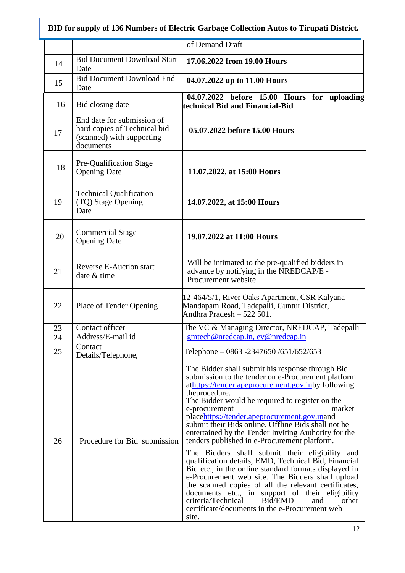|    |                                                                                                      | of Demand Draft                                                                                                                                                                                                                                                                                                                                                                                                                                                                                                                                                                                                                                                                                                                                                                                                                                                                                                          |
|----|------------------------------------------------------------------------------------------------------|--------------------------------------------------------------------------------------------------------------------------------------------------------------------------------------------------------------------------------------------------------------------------------------------------------------------------------------------------------------------------------------------------------------------------------------------------------------------------------------------------------------------------------------------------------------------------------------------------------------------------------------------------------------------------------------------------------------------------------------------------------------------------------------------------------------------------------------------------------------------------------------------------------------------------|
| 14 | <b>Bid Document Download Start</b><br>Date                                                           | 17.06.2022 from 19.00 Hours                                                                                                                                                                                                                                                                                                                                                                                                                                                                                                                                                                                                                                                                                                                                                                                                                                                                                              |
| 15 | <b>Bid Document Download End</b><br>Date                                                             | 04.07.2022 up to 11.00 Hours                                                                                                                                                                                                                                                                                                                                                                                                                                                                                                                                                                                                                                                                                                                                                                                                                                                                                             |
| 16 | Bid closing date                                                                                     | 04.07.2022 before 15.00 Hours for uploading<br>technical Bid and Financial-Bid                                                                                                                                                                                                                                                                                                                                                                                                                                                                                                                                                                                                                                                                                                                                                                                                                                           |
| 17 | End date for submission of<br>hard copies of Technical bid<br>(scanned) with supporting<br>documents | 05.07.2022 before 15.00 Hours                                                                                                                                                                                                                                                                                                                                                                                                                                                                                                                                                                                                                                                                                                                                                                                                                                                                                            |
| 18 | Pre-Qualification Stage<br><b>Opening Date</b>                                                       | 11.07.2022, at 15:00 Hours                                                                                                                                                                                                                                                                                                                                                                                                                                                                                                                                                                                                                                                                                                                                                                                                                                                                                               |
| 19 | <b>Technical Qualification</b><br>(TQ) Stage Opening<br>Date                                         | 14.07.2022, at 15:00 Hours                                                                                                                                                                                                                                                                                                                                                                                                                                                                                                                                                                                                                                                                                                                                                                                                                                                                                               |
| 20 | <b>Commercial Stage</b><br><b>Opening Date</b>                                                       | 19.07.2022 at 11:00 Hours                                                                                                                                                                                                                                                                                                                                                                                                                                                                                                                                                                                                                                                                                                                                                                                                                                                                                                |
| 21 | <b>Reverse E-Auction start</b><br>date & time                                                        | Will be intimated to the pre-qualified bidders in<br>advance by notifying in the NREDCAP/E -<br>Procurement website.                                                                                                                                                                                                                                                                                                                                                                                                                                                                                                                                                                                                                                                                                                                                                                                                     |
| 22 | Place of Tender Opening                                                                              | 12-464/5/1, River Oaks Apartment, CSR Kalyana<br>Mandapam Road, Tadepalli, Guntur District,<br>Andhra Pradesh $-522501$ .                                                                                                                                                                                                                                                                                                                                                                                                                                                                                                                                                                                                                                                                                                                                                                                                |
| 23 | Contact officer                                                                                      | The VC & Managing Director, NREDCAP, Tadepalli                                                                                                                                                                                                                                                                                                                                                                                                                                                                                                                                                                                                                                                                                                                                                                                                                                                                           |
| 24 | Address/E-mail id                                                                                    | gmtech@nredcap.in, ev@nredcap.in                                                                                                                                                                                                                                                                                                                                                                                                                                                                                                                                                                                                                                                                                                                                                                                                                                                                                         |
| 25 | Contact<br>Details/Telephone,                                                                        | Telephone – 0863 -2347650 /651/652/653                                                                                                                                                                                                                                                                                                                                                                                                                                                                                                                                                                                                                                                                                                                                                                                                                                                                                   |
| 26 | Procedure for Bid submission                                                                         | The Bidder shall submit his response through Bid<br>submission to the tender on e-Procurement platform<br>athttps://tender.apeprocurement.gov.inby following<br>theprocedure.<br>The Bidder would be required to register on the<br>market<br>e-procurement<br>placehttps://tender.apeprocurement.gov.inand<br>submit their Bids online. Offline Bids shall not be<br>entertained by the Tender Inviting Authority for the<br>tenders published in e-Procurement platform.<br>The Bidders shall submit their eligibility and<br>qualification details, EMD, Technical Bid, Financial<br>Bid etc., in the online standard formats displayed in<br>e-Procurement web site. The Bidders shall upload<br>the scanned copies of all the relevant certificates,<br>documents etc., in support of their eligibility<br>criteria/Technical<br>Bid/EMD<br>and<br>other<br>certificate/documents in the e-Procurement web<br>site. |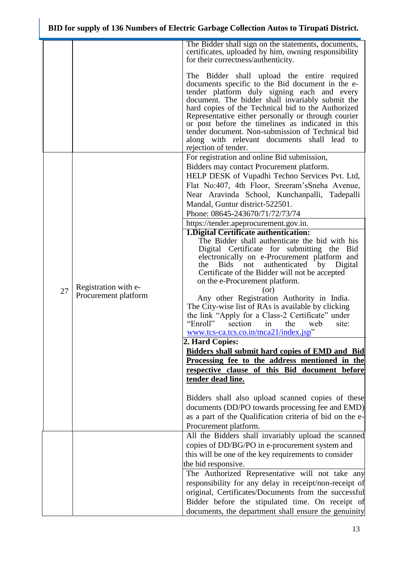|    |                                              | The Bidder shall sign on the statements, documents,<br>certificates, uploaded by him, owning responsibility<br>for their correctness/authenticity.                                                                                                                                                                                                                                                                                                                                              |  |  |  |  |  |
|----|----------------------------------------------|-------------------------------------------------------------------------------------------------------------------------------------------------------------------------------------------------------------------------------------------------------------------------------------------------------------------------------------------------------------------------------------------------------------------------------------------------------------------------------------------------|--|--|--|--|--|
|    |                                              | The Bidder shall upload the entire required<br>documents specific to the Bid document in the e-<br>tender platform duly signing each and every<br>document. The bidder shall invariably submit the<br>hard copies of the Technical bid to the Authorized<br>Representative either personally or through courier<br>or post before the timelines as indicated in this<br>tender document. Non-submission of Technical bid<br>along with relevant documents shall lead to<br>rejection of tender. |  |  |  |  |  |
|    |                                              | For registration and online Bid submission,                                                                                                                                                                                                                                                                                                                                                                                                                                                     |  |  |  |  |  |
|    |                                              | Bidders may contact Procurement platform.                                                                                                                                                                                                                                                                                                                                                                                                                                                       |  |  |  |  |  |
|    |                                              | HELP DESK of Vupadhi Techno Services Pvt. Ltd,                                                                                                                                                                                                                                                                                                                                                                                                                                                  |  |  |  |  |  |
|    |                                              | Flat No:407, 4th Floor, Sreeram's Sneha Avenue,                                                                                                                                                                                                                                                                                                                                                                                                                                                 |  |  |  |  |  |
|    |                                              | Near Aravinda School, Kunchanpalli, Tadepalli                                                                                                                                                                                                                                                                                                                                                                                                                                                   |  |  |  |  |  |
|    |                                              | Mandal, Guntur district-522501.<br>Phone: 08645-243670/71/72/73/74                                                                                                                                                                                                                                                                                                                                                                                                                              |  |  |  |  |  |
|    |                                              |                                                                                                                                                                                                                                                                                                                                                                                                                                                                                                 |  |  |  |  |  |
|    |                                              | https://tender.apeprocurement.gov.in.<br>1. Digital Certificate authentication:                                                                                                                                                                                                                                                                                                                                                                                                                 |  |  |  |  |  |
|    |                                              | The Bidder shall authenticate the bid with his                                                                                                                                                                                                                                                                                                                                                                                                                                                  |  |  |  |  |  |
|    |                                              | Digital Certificate for submitting the Bid                                                                                                                                                                                                                                                                                                                                                                                                                                                      |  |  |  |  |  |
|    |                                              | electronically on e-Procurement platform and                                                                                                                                                                                                                                                                                                                                                                                                                                                    |  |  |  |  |  |
|    |                                              | the Bids not<br>authenticated<br>by Digital<br>Certificate of the Bidder will not be accepted                                                                                                                                                                                                                                                                                                                                                                                                   |  |  |  |  |  |
|    |                                              | on the e-Procurement platform.                                                                                                                                                                                                                                                                                                                                                                                                                                                                  |  |  |  |  |  |
| 27 | Registration with e-<br>Procurement platform | (or)                                                                                                                                                                                                                                                                                                                                                                                                                                                                                            |  |  |  |  |  |
|    |                                              | Any other Registration Authority in India.                                                                                                                                                                                                                                                                                                                                                                                                                                                      |  |  |  |  |  |
|    |                                              | The City-wise list of RAs is available by clicking                                                                                                                                                                                                                                                                                                                                                                                                                                              |  |  |  |  |  |
|    |                                              | the link "Apply for a Class-2 Certificate" under<br>"Enroll"<br>section<br>the<br>web<br>in                                                                                                                                                                                                                                                                                                                                                                                                     |  |  |  |  |  |
|    |                                              | site:<br>www.tcs-ca.tcs.co.in/mca21/index.jsp"                                                                                                                                                                                                                                                                                                                                                                                                                                                  |  |  |  |  |  |
|    |                                              | 2. Hard Copies:                                                                                                                                                                                                                                                                                                                                                                                                                                                                                 |  |  |  |  |  |
|    |                                              | <b>Bidders shall submit hard copies of EMD and Bid</b>                                                                                                                                                                                                                                                                                                                                                                                                                                          |  |  |  |  |  |
|    |                                              | Processing fee to the address mentioned in the                                                                                                                                                                                                                                                                                                                                                                                                                                                  |  |  |  |  |  |
|    |                                              | respective clause of this Bid document before                                                                                                                                                                                                                                                                                                                                                                                                                                                   |  |  |  |  |  |
|    |                                              | tender dead line.                                                                                                                                                                                                                                                                                                                                                                                                                                                                               |  |  |  |  |  |
|    |                                              | Bidders shall also upload scanned copies of these                                                                                                                                                                                                                                                                                                                                                                                                                                               |  |  |  |  |  |
|    |                                              | documents (DD/PO towards processing fee and EMD)                                                                                                                                                                                                                                                                                                                                                                                                                                                |  |  |  |  |  |
|    |                                              | as a part of the Qualification criteria of bid on the e-                                                                                                                                                                                                                                                                                                                                                                                                                                        |  |  |  |  |  |
|    |                                              | Procurement platform.                                                                                                                                                                                                                                                                                                                                                                                                                                                                           |  |  |  |  |  |
|    |                                              | All the Bidders shall invariably upload the scanned                                                                                                                                                                                                                                                                                                                                                                                                                                             |  |  |  |  |  |
|    |                                              | copies of DD/BG/PO in e-procurement system and                                                                                                                                                                                                                                                                                                                                                                                                                                                  |  |  |  |  |  |
|    |                                              | this will be one of the key requirements to consider                                                                                                                                                                                                                                                                                                                                                                                                                                            |  |  |  |  |  |
|    |                                              | the bid responsive.                                                                                                                                                                                                                                                                                                                                                                                                                                                                             |  |  |  |  |  |
|    |                                              | The Authorized Representative will not take any<br>responsibility for any delay in receipt/non-receipt of                                                                                                                                                                                                                                                                                                                                                                                       |  |  |  |  |  |
|    |                                              | original, Certificates/Documents from the successful                                                                                                                                                                                                                                                                                                                                                                                                                                            |  |  |  |  |  |
|    |                                              | Bidder before the stipulated time. On receipt of                                                                                                                                                                                                                                                                                                                                                                                                                                                |  |  |  |  |  |
|    |                                              | documents, the department shall ensure the genuinity                                                                                                                                                                                                                                                                                                                                                                                                                                            |  |  |  |  |  |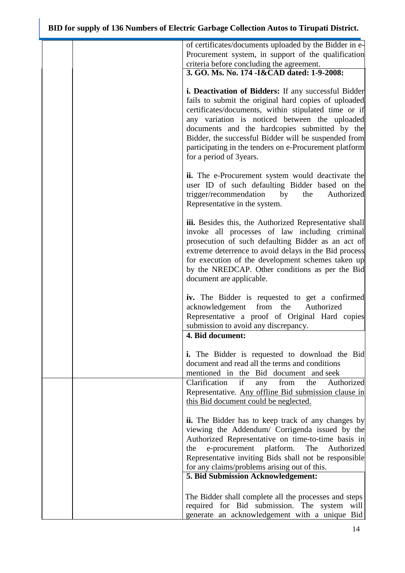|  | of certificates/documents uploaded by the Bidder in e-<br>Procurement system, in support of the qualification<br>criteria before concluding the agreement.                                                                                                                                                                                                                                                          |
|--|---------------------------------------------------------------------------------------------------------------------------------------------------------------------------------------------------------------------------------------------------------------------------------------------------------------------------------------------------------------------------------------------------------------------|
|  | 3. GO. Ms. No. 174 - I&CAD dated: 1-9-2008:                                                                                                                                                                                                                                                                                                                                                                         |
|  | i. Deactivation of Bidders: If any successful Bidder<br>fails to submit the original hard copies of uploaded<br>certificates/documents, within stipulated time or if<br>any variation is noticed between the uploaded<br>documents and the hardcopies submitted by the<br>Bidder, the successful Bidder will be suspended from<br>participating in the tenders on e-Procurement platform<br>for a period of 3years. |
|  | <b>ii.</b> The e-Procurement system would deactivate the<br>user ID of such defaulting Bidder based on the<br>trigger/recommendation<br>by<br>the<br>Authorized<br>Representative in the system.                                                                                                                                                                                                                    |
|  | iii. Besides this, the Authorized Representative shall<br>invoke all processes of law including criminal<br>prosecution of such defaulting Bidder as an act of<br>extreme deterrence to avoid delays in the Bid process<br>for execution of the development schemes taken up<br>by the NREDCAP. Other conditions as per the Bid<br>document are applicable.                                                         |
|  | iv. The Bidder is requested to get a confirmed<br>acknowledgement from the<br>Authorized<br>Representative a proof of Original Hard copies<br>submission to avoid any discrepancy.<br>4. Bid document:                                                                                                                                                                                                              |
|  | <b>i.</b> The Bidder is requested to download the Bid<br>document and read all the terms and conditions<br>mentioned in the Bid document and seek<br>Clarification<br>from<br>the<br>if<br>Authorized<br>any                                                                                                                                                                                                        |
|  | Representative. Any offline Bid submission clause in<br>this Bid document could be neglected.                                                                                                                                                                                                                                                                                                                       |
|  | <b>ii.</b> The Bidder has to keep track of any changes by<br>viewing the Addendum/ Corrigenda issued by the<br>Authorized Representative on time-to-time basis in<br>e-procurement<br>platform.<br>The<br>Authorized<br>the<br>Representative inviting Bids shall not be responsible<br>for any claims/problems arising out of this.<br>5. Bid Submission Acknowledgement:                                          |
|  | The Bidder shall complete all the processes and steps<br>required for Bid submission. The system will<br>generate an acknowledgement with a unique Bid                                                                                                                                                                                                                                                              |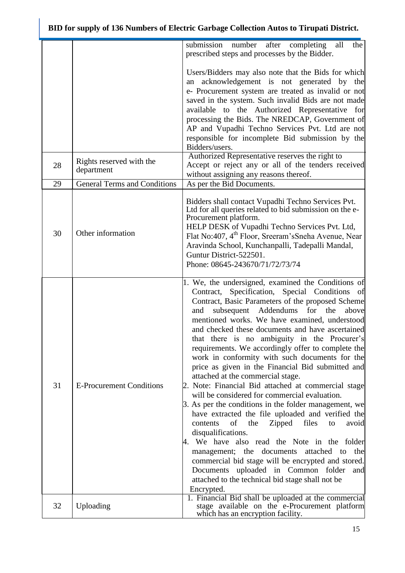|          |                                                                               | submission number after completing all<br>the<br>prescribed steps and processes by the Bidder.                                                                                                                                                                                                                                                                                                                                                                                                                                                                                                                                                                                                                                                                                                                                                                                                                                                                                                                                                                                                                                                           |
|----------|-------------------------------------------------------------------------------|----------------------------------------------------------------------------------------------------------------------------------------------------------------------------------------------------------------------------------------------------------------------------------------------------------------------------------------------------------------------------------------------------------------------------------------------------------------------------------------------------------------------------------------------------------------------------------------------------------------------------------------------------------------------------------------------------------------------------------------------------------------------------------------------------------------------------------------------------------------------------------------------------------------------------------------------------------------------------------------------------------------------------------------------------------------------------------------------------------------------------------------------------------|
| 28<br>29 | Rights reserved with the<br>department<br><b>General Terms and Conditions</b> | Users/Bidders may also note that the Bids for which<br>an acknowledgement is not generated by the<br>e- Procurement system are treated as invalid or not<br>saved in the system. Such invalid Bids are not made<br>available to the Authorized Representative for<br>processing the Bids. The NREDCAP, Government of<br>AP and Vupadhi Techno Services Pvt. Ltd are not<br>responsible for incomplete Bid submission by the<br>Bidders/users.<br>Authorized Representative reserves the right to<br>Accept or reject any or all of the tenders received<br>without assigning any reasons thereof.                                                                                                                                                                                                                                                                                                                                                                                                                                                                                                                                                        |
|          |                                                                               | As per the Bid Documents.                                                                                                                                                                                                                                                                                                                                                                                                                                                                                                                                                                                                                                                                                                                                                                                                                                                                                                                                                                                                                                                                                                                                |
| 30       | Other information                                                             | Bidders shall contact Vupadhi Techno Services Pvt.<br>Ltd for all queries related to bid submission on the e-<br>Procurement platform.<br>HELP DESK of Vupadhi Techno Services Pvt. Ltd,<br>Flat No:407, 4 <sup>th</sup> Floor, Sreeram's Sneha Avenue, Near<br>Aravinda School, Kunchanpalli, Tadepalli Mandal,<br>Guntur District-522501.<br>Phone: 08645-243670/71/72/73/74                                                                                                                                                                                                                                                                                                                                                                                                                                                                                                                                                                                                                                                                                                                                                                           |
| 31       | <b>E-Procurement Conditions</b>                                               | 1. We, the undersigned, examined the Conditions of<br>Contract, Specification, Special Conditions of<br>Contract, Basic Parameters of the proposed Scheme<br>subsequent Addendums for<br>the<br>and<br>above<br>mentioned works. We have examined, understood<br>and checked these documents and have ascertained<br>that there is no ambiguity in the Procurer's<br>requirements. We accordingly offer to complete the<br>work in conformity with such documents for the<br>price as given in the Financial Bid submitted and<br>attached at the commercial stage.<br>2. Note: Financial Bid attached at commercial stage<br>will be considered for commercial evaluation.<br>3. As per the conditions in the folder management, we<br>have extracted the file uploaded and verified the<br>Zipped<br>files<br>of<br>the<br>contents<br>to<br>avoid<br>disqualifications.<br>4. We have also read the Note in the folder<br>management; the<br>documents<br>attached<br>the<br>to<br>commercial bid stage will be encrypted and stored.<br>Documents uploaded in Common folder<br>and<br>attached to the technical bid stage shall not be<br>Encrypted. |
| 32       | Uploading                                                                     | 1. Financial Bid shall be uploaded at the commercial<br>stage available on the e-Procurement platform<br>which has an encryption facility.                                                                                                                                                                                                                                                                                                                                                                                                                                                                                                                                                                                                                                                                                                                                                                                                                                                                                                                                                                                                               |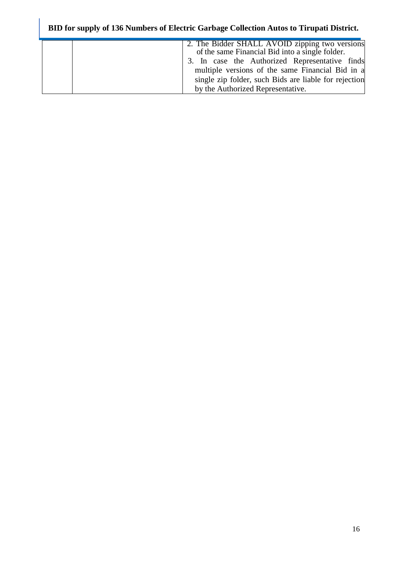| 2. The Bidder SHALL AVOID zipping two versions<br>of the same Financial Bid into a single folder. |
|---------------------------------------------------------------------------------------------------|
| 3. In case the Authorized Representative finds                                                    |
| multiple versions of the same Financial Bid in a                                                  |
| single zip folder, such Bids are liable for rejection                                             |
| by the Authorized Representative.                                                                 |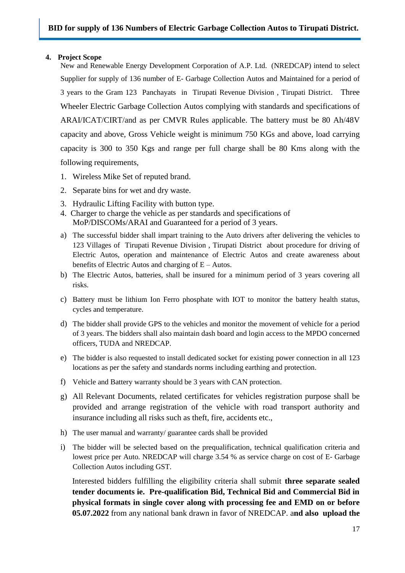#### <span id="page-16-0"></span>**4. Project Scope**

New and Renewable Energy Development Corporation of A.P. Ltd. (NREDCAP) intend to select Supplier for supply of 136 number of E- Garbage Collection Autos and Maintained for a period of 3 years to the Gram 123 Panchayats in Tirupati Revenue Division , Tirupati District. Three Wheeler Electric Garbage Collection Autos complying with standards and specifications of ARAI/ICAT/CIRT/and as per CMVR Rules applicable. The battery must be 80 Ah/48V capacity and above, Gross Vehicle weight is minimum 750 KGs and above, load carrying capacity is 300 to 350 Kgs and range per full charge shall be 80 Kms along with the following requirements,

- 1. Wireless Mike Set of reputed brand.
- 2. Separate bins for wet and dry waste.
- 3. Hydraulic Lifting Facility with button type.
- 4. Charger to charge the vehicle as per standards and specifications of MoP/DISCOMs/ARAI and Guaranteed for a period of 3 years.
- a) The successful bidder shall impart training to the Auto drivers after delivering the vehicles to 123 Villages of Tirupati Revenue Division , Tirupati District about procedure for driving of Electric Autos, operation and maintenance of Electric Autos and create awareness about benefits of Electric Autos and charging of E – Autos.
- b) The Electric Autos, batteries, shall be insured for a minimum period of 3 years covering all risks.
- c) Battery must be lithium Ion Ferro phosphate with IOT to monitor the battery health status, cycles and temperature.
- d) The bidder shall provide GPS to the vehicles and monitor the movement of vehicle for a period of 3 years. The bidders shall also maintain dash board and login access to the MPDO concerned officers, TUDA and NREDCAP.
- e) The bidder is also requested to install dedicated socket for existing power connection in all 123 locations as per the safety and standards norms including earthing and protection.
- f) Vehicle and Battery warranty should be 3 years with CAN protection.
- g) All Relevant Documents, related certificates for vehicles registration purpose shall be provided and arrange registration of the vehicle with road transport authority and insurance including all risks such as theft, fire, accidents etc.,
- h) The user manual and warranty/ guarantee cards shall be provided
- i) The bidder will be selected based on the prequalification, technical qualification criteria and lowest price per Auto. NREDCAP will charge 3.54 % as service charge on cost of E- Garbage Collection Autos including GST.

Interested bidders fulfilling the eligibility criteria shall submit **three separate sealed tender documents ie. Pre-qualification Bid, Technical Bid and Commercial Bid in physical formats in single cover along with processing fee and EMD on or before 05.07.2022** from any national bank drawn in favor of NREDCAP. a**nd also upload the**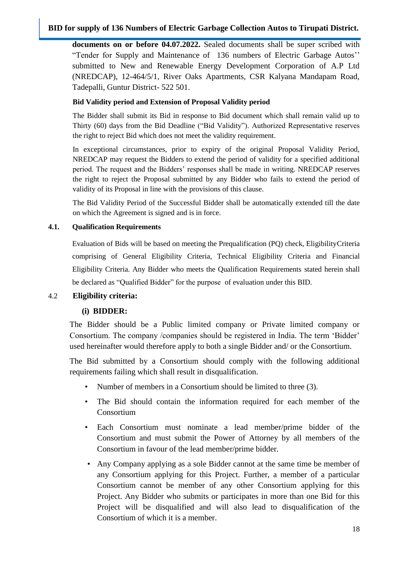**documents on or before 04.07.2022.** Sealed documents shall be super scribed with "Tender for Supply and Maintenance of 136 numbers of Electric Garbage Autos"" submitted to New and Renewable Energy Development Corporation of A.P Ltd (NREDCAP), 12-464/5/1, River Oaks Apartments, CSR Kalyana Mandapam Road, Tadepalli, Guntur District- 522 501.

#### **Bid Validity period and Extension of Proposal Validity period**

The Bidder shall submit its Bid in response to Bid document which shall remain valid up to Thirty (60) days from the Bid Deadline ("Bid Validity"). Authorized Representative reserves the right to reject Bid which does not meet the validity requirement.

In exceptional circumstances, prior to expiry of the original Proposal Validity Period, NREDCAP may request the Bidders to extend the period of validity for a specified additional period. The request and the Bidders' responses shall be made in writing. NREDCAP reserves the right to reject the Proposal submitted by any Bidder who fails to extend the period of validity of its Proposal in line with the provisions of this clause.

The Bid Validity Period of the Successful Bidder shall be automatically extended till the date on which the Agreement is signed and is in force.

#### <span id="page-17-0"></span>**4.1. Qualification Requirements**

Evaluation of Bids will be based on meeting the Prequalification (PQ) check, EligibilityCriteria comprising of General Eligibility Criteria, Technical Eligibility Criteria and Financial Eligibility Criteria. Any Bidder who meets the Qualification Requirements stated herein shall be declared as "Qualified Bidder" for the purpose of evaluation under this BID.

## 4.2 **Eligibility criteria:**

## **(i) BIDDER:**

The Bidder should be a Public limited company or Private limited company or Consortium. The company /companies should be registered in India. The term "Bidder" used hereinafter would therefore apply to both a single Bidder and/ or the Consortium.

The Bid submitted by a Consortium should comply with the following additional requirements failing which shall result in disqualification.

- Number of members in a Consortium should be limited to three (3).
- The Bid should contain the information required for each member of the Consortium
- Each Consortium must nominate a lead member/prime bidder of the Consortium and must submit the Power of Attorney by all members of the Consortium in favour of the lead member/prime bidder.
- Any Company applying as a sole Bidder cannot at the same time be member of any Consortium applying for this Project. Further, a member of a particular Consortium cannot be member of any other Consortium applying for this Project. Any Bidder who submits or participates in more than one Bid for this Project will be disqualified and will also lead to disqualification of the Consortium of which it is a member.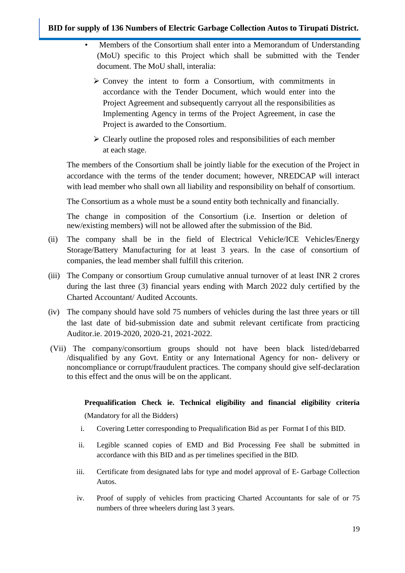- Members of the Consortium shall enter into a Memorandum of Understanding (MoU) specific to this Project which shall be submitted with the Tender document. The MoU shall, interalia:
	- $\triangleright$  Convey the intent to form a Consortium, with commitments in accordance with the Tender Document, which would enter into the Project Agreement and subsequently carryout all the responsibilities as Implementing Agency in terms of the Project Agreement, in case the Project is awarded to the Consortium.
	- $\triangleright$  Clearly outline the proposed roles and responsibilities of each member at each stage.

The members of the Consortium shall be jointly liable for the execution of the Project in accordance with the terms of the tender document; however, NREDCAP will interact with lead member who shall own all liability and responsibility on behalf of consortium.

The Consortium as a whole must be a sound entity both technically and financially.

The change in composition of the Consortium (i.e. Insertion or deletion of new/existing members) will not be allowed after the submission of the Bid.

- (ii) The company shall be in the field of Electrical Vehicle/ICE Vehicles/Energy Storage/Battery Manufacturing for at least 3 years. In the case of consortium of companies, the lead member shall fulfill this criterion.
- (iii) The Company or consortium Group cumulative annual turnover of at least INR 2 crores during the last three (3) financial years ending with March 2022 duly certified by the Charted Accountant/ Audited Accounts.
- (iv) The company should have sold 75 numbers of vehicles during the last three years or till the last date of bid-submission date and submit relevant certificate from practicing Auditor.ie. 2019-2020, 2020-21, 2021-2022.
- (Vii) The company/consortium groups should not have been black listed/debarred /disqualified by any Govt. Entity or any International Agency for non- delivery or noncompliance or corrupt/fraudulent practices. The company should give self-declaration to this effect and the onus will be on the applicant.

## **Prequalification Check ie. Technical eligibility and financial eligibility criteria**

(Mandatory for all the Bidders)

- i. Covering Letter corresponding to Prequalification Bid as per Format I of this BID.
- ii. Legible scanned copies of EMD and Bid Processing Fee shall be submitted in accordance with this BID and as per timelines specified in the BID.
- iii. Certificate from designated labs for type and model approval of E- Garbage Collection Autos.
- iv. Proof of supply of vehicles from practicing Charted Accountants for sale of or 75 numbers of three wheelers during last 3 years.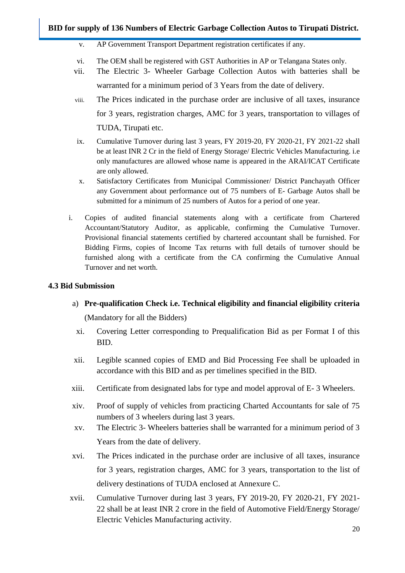- v. AP Government Transport Department registration certificates if any.
- vi. The OEM shall be registered with GST Authorities in AP or Telangana States only.
- vii. The Electric 3- Wheeler Garbage Collection Autos with batteries shall be warranted for a minimum period of 3 Years from the date of delivery.
- viii. The Prices indicated in the purchase order are inclusive of all taxes, insurance for 3 years, registration charges, AMC for 3 years, transportation to villages of TUDA, Tirupati etc.
- ix. Cumulative Turnover during last 3 years, FY 2019-20, FY 2020-21, FY 2021-22 shall be at least INR 2 Cr in the field of Energy Storage/ Electric Vehicles Manufacturing. i.e only manufactures are allowed whose name is appeared in the ARAI/ICAT Certificate are only allowed.
- x. Satisfactory Certificates from Municipal Commissioner/ District Panchayath Officer any Government about performance out of 75 numbers of E- Garbage Autos shall be submitted for a minimum of 25 numbers of Autos for a period of one year.
- i. Copies of audited financial statements along with a certificate from Chartered Accountant/Statutory Auditor, as applicable, confirming the Cumulative Turnover. Provisional financial statements certified by chartered accountant shall be furnished. For Bidding Firms, copies of Income Tax returns with full details of turnover should be furnished along with a certificate from the CA confirming the Cumulative Annual Turnover and net worth.

#### **4.3 Bid Submission**

a) **Pre-qualification Check i.e. Technical eligibility and financial eligibility criteria** 

(Mandatory for all the Bidders)

- xi. Covering Letter corresponding to Prequalification Bid as per Format I of this BID.
- xii. Legible scanned copies of EMD and Bid Processing Fee shall be uploaded in accordance with this BID and as per timelines specified in the BID.
- xiii. Certificate from designated labs for type and model approval of E- 3 Wheelers.
- xiv. Proof of supply of vehicles from practicing Charted Accountants for sale of 75 numbers of 3 wheelers during last 3 years.
- xv. The Electric 3- Wheelers batteries shall be warranted for a minimum period of 3 Years from the date of delivery.
- xvi. The Prices indicated in the purchase order are inclusive of all taxes, insurance for 3 years, registration charges, AMC for 3 years, transportation to the list of delivery destinations of TUDA enclosed at Annexure C.
- xvii. Cumulative Turnover during last 3 years, FY 2019-20, FY 2020-21, FY 2021- 22 shall be at least INR 2 crore in the field of Automotive Field/Energy Storage/ Electric Vehicles Manufacturing activity.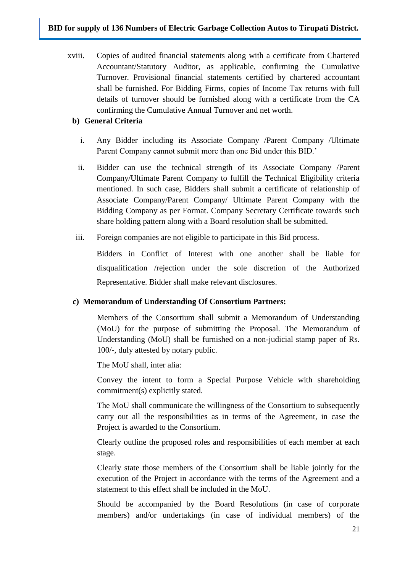xviii. Copies of audited financial statements along with a certificate from Chartered Accountant/Statutory Auditor, as applicable, confirming the Cumulative Turnover. Provisional financial statements certified by chartered accountant shall be furnished. For Bidding Firms, copies of Income Tax returns with full details of turnover should be furnished along with a certificate from the CA confirming the Cumulative Annual Turnover and net worth.

## **b) General Criteria**

- i. Any Bidder including its Associate Company /Parent Company /Ultimate Parent Company cannot submit more than one Bid under this BID."
- ii. Bidder can use the technical strength of its Associate Company /Parent Company/Ultimate Parent Company to fulfill the Technical Eligibility criteria mentioned. In such case, Bidders shall submit a certificate of relationship of Associate Company/Parent Company/ Ultimate Parent Company with the Bidding Company as per Format. Company Secretary Certificate towards such share holding pattern along with a Board resolution shall be submitted.
- iii. Foreign companies are not eligible to participate in this Bid process.

Bidders in Conflict of Interest with one another shall be liable for disqualification /rejection under the sole discretion of the Authorized Representative. Bidder shall make relevant disclosures.

## **c) Memorandum of Understanding Of Consortium Partners:**

Members of the Consortium shall submit a Memorandum of Understanding (MoU) for the purpose of submitting the Proposal. The Memorandum of Understanding (MoU) shall be furnished on a non-judicial stamp paper of Rs. 100/-, duly attested by notary public.

The MoU shall, inter alia:

Convey the intent to form a Special Purpose Vehicle with shareholding commitment(s) explicitly stated.

The MoU shall communicate the willingness of the Consortium to subsequently carry out all the responsibilities as in terms of the Agreement, in case the Project is awarded to the Consortium.

Clearly outline the proposed roles and responsibilities of each member at each stage.

Clearly state those members of the Consortium shall be liable jointly for the execution of the Project in accordance with the terms of the Agreement and a statement to this effect shall be included in the MoU.

Should be accompanied by the Board Resolutions (in case of corporate members) and/or undertakings (in case of individual members) of the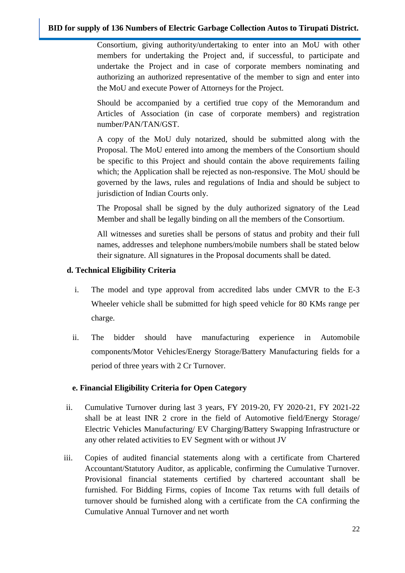Consortium, giving authority/undertaking to enter into an MoU with other members for undertaking the Project and, if successful, to participate and undertake the Project and in case of corporate members nominating and authorizing an authorized representative of the member to sign and enter into the MoU and execute Power of Attorneys for the Project.

Should be accompanied by a certified true copy of the Memorandum and Articles of Association (in case of corporate members) and registration number/PAN/TAN/GST.

A copy of the MoU duly notarized, should be submitted along with the Proposal. The MoU entered into among the members of the Consortium should be specific to this Project and should contain the above requirements failing which; the Application shall be rejected as non-responsive. The MoU should be governed by the laws, rules and regulations of India and should be subject to jurisdiction of Indian Courts only.

The Proposal shall be signed by the duly authorized signatory of the Lead Member and shall be legally binding on all the members of the Consortium.

All witnesses and sureties shall be persons of status and probity and their full names, addresses and telephone numbers/mobile numbers shall be stated below their signature. All signatures in the Proposal documents shall be dated.

#### **d. Technical Eligibility Criteria**

- i. The model and type approval from accredited labs under CMVR to the E-3 Wheeler vehicle shall be submitted for high speed vehicle for 80 KMs range per charge.
- ii. The bidder should have manufacturing experience in Automobile components/Motor Vehicles/Energy Storage/Battery Manufacturing fields for a period of three years with 2 Cr Turnover.

## **e. Financial Eligibility Criteria for Open Category**

- ii. Cumulative Turnover during last 3 years, FY 2019-20, FY 2020-21, FY 2021-22 shall be at least INR 2 crore in the field of Automotive field/Energy Storage/ Electric Vehicles Manufacturing/ EV Charging/Battery Swapping Infrastructure or any other related activities to EV Segment with or without JV
- iii. Copies of audited financial statements along with a certificate from Chartered Accountant/Statutory Auditor, as applicable, confirming the Cumulative Turnover. Provisional financial statements certified by chartered accountant shall be furnished. For Bidding Firms, copies of Income Tax returns with full details of turnover should be furnished along with a certificate from the CA confirming the Cumulative Annual Turnover and net worth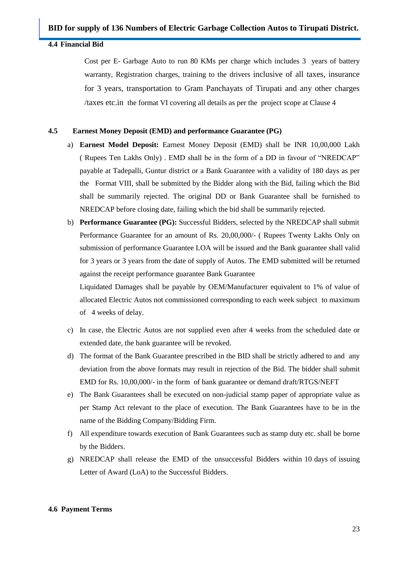#### <span id="page-22-0"></span>**4.4 Financial Bid**

Cost per E- Garbage Auto to run 80 KMs per charge which includes 3 years of battery warranty, Registration charges, training to the drivers inclusive of all taxes, insurance for 3 years, transportation to Gram Panchayats of Tirupati and any other charges /taxes etc.in the format VI covering all details as per the project scope at Clause 4

#### **4.5 Earnest Money Deposit (EMD) and performance Guarantee (PG)**

- a) **Earnest Model Deposit:** Earnest Money Deposit (EMD) shall be INR 10,00,000 Lakh ( Rupees Ten Lakhs Only) . EMD shall be in the form of a DD in favour of "NREDCAP" payable at Tadepalli, Guntur district or a Bank Guarantee with a validity of 180 days as per the Format VIII, shall be submitted by the Bidder along with the Bid, failing which the Bid shall be summarily rejected. The original DD or Bank Guarantee shall be furnished to NREDCAP before closing date, failing which the bid shall be summarily rejected.
- b) **Performance Guarantee (PG):** Successful Bidders, selected by the NREDCAP shall submit Performance Guarantee for an amount of Rs. 20,00,000/- ( Rupees Twenty Lakhs Only on submission of performance Guarantee LOA will be issued and the Bank guarantee shall valid for 3 years or 3 years from the date of supply of Autos. The EMD submitted will be returned against the receipt performance guarantee Bank Guarantee

Liquidated Damages shall be payable by OEM/Manufacturer equivalent to 1% of value of allocated Electric Autos not commissioned corresponding to each week subject to maximum of 4 weeks of delay.

- c) In case, the Electric Autos are not supplied even after 4 weeks from the scheduled date or extended date, the bank guarantee will be revoked.
- d) The format of the Bank Guarantee prescribed in the BID shall be strictly adhered to and any deviation from the above formats may result in rejection of the Bid. The bidder shall submit EMD for Rs. 10,00,000/- in the form of bank guarantee or demand draft/RTGS/NEFT
- e) The Bank Guarantees shall be executed on non-judicial stamp paper of appropriate value as per Stamp Act relevant to the place of execution. The Bank Guarantees have to be in the name of the Bidding Company/Bidding Firm.
- f) All expenditure towards execution of Bank Guarantees such as stamp duty etc. shall be borne by the Bidders.
- g) NREDCAP shall release the EMD of the unsuccessful Bidders within 10 days of issuing Letter of Award (LoA) to the Successful Bidders.

#### <span id="page-22-1"></span>**4.6 Payment Terms**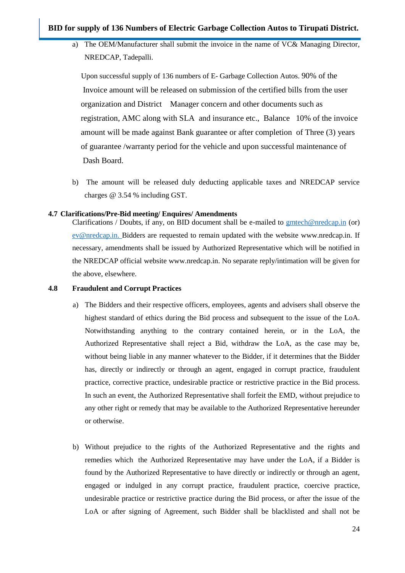a) The OEM/Manufacturer shall submit the invoice in the name of VC& Managing Director, NREDCAP, Tadepalli.

 Upon successful supply of 136 numbers of E- Garbage Collection Autos. 90% of the Invoice amount will be released on submission of the certified bills from the user organization and District Manager concern and other documents such as registration, AMC along with SLA and insurance etc., Balance 10% of the invoice amount will be made against Bank guarantee or after completion of Three (3) years of guarantee /warranty period for the vehicle and upon successful maintenance of Dash Board.

b) The amount will be released duly deducting applicable taxes and NREDCAP service charges @ 3.54 % including GST.

#### <span id="page-23-0"></span>**4.7 Clarifications/Pre-Bid meeting/ Enquires/ Amendments**

Clarifications / Doubts, if any, on BID document shall be e-mailed to [gmtech@nredcap.in](mailto:gmtech@nredcap.in) (or[\)](mailto:%20ev@nredcap.in.) [ev@nredcap.in. B](mailto:%20ev@nredcap.in.)idders are requested to remain updated with the website [www.nredcap.in.](http://www.nredcap.in/) If necessary, amendments shall be issued by Authorized Representative which will be notified in the NREDCAP official website [www.nredcap.in.](http://www.nredcap.in/) No separate reply/intimation will be given for the above, elsewhere.

#### <span id="page-23-1"></span>**4.8 Fraudulent and Corrupt Practices**

- a) The Bidders and their respective officers, employees, agents and advisers shall observe the highest standard of ethics during the Bid process and subsequent to the issue of the LoA. Notwithstanding anything to the contrary contained herein, or in the LoA, the Authorized Representative shall reject a Bid, withdraw the LoA, as the case may be, without being liable in any manner whatever to the Bidder, if it determines that the Bidder has, directly or indirectly or through an agent, engaged in corrupt practice, fraudulent practice, corrective practice, undesirable practice or restrictive practice in the Bid process. In such an event, the Authorized Representative shall forfeit the EMD, without prejudice to any other right or remedy that may be available to the Authorized Representative hereunder or otherwise.
- b) Without prejudice to the rights of the Authorized Representative and the rights and remedies which the Authorized Representative may have under the LoA, if a Bidder is found by the Authorized Representative to have directly or indirectly or through an agent, engaged or indulged in any corrupt practice, fraudulent practice, coercive practice, undesirable practice or restrictive practice during the Bid process, or after the issue of the LoA or after signing of Agreement, such Bidder shall be blacklisted and shall not be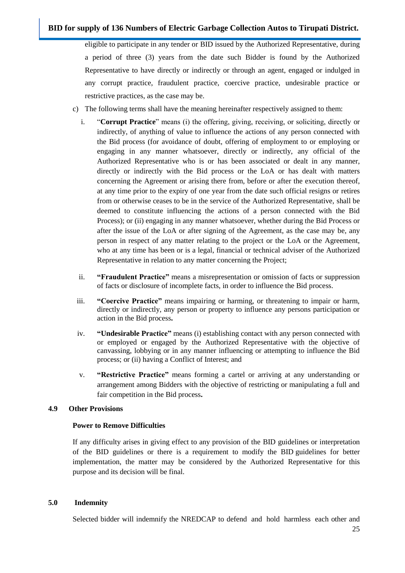eligible to participate in any tender or BID issued by the Authorized Representative, during a period of three (3) years from the date such Bidder is found by the Authorized Representative to have directly or indirectly or through an agent, engaged or indulged in any corrupt practice, fraudulent practice, coercive practice, undesirable practice or restrictive practices, as the case may be.

- c) The following terms shall have the meaning hereinafter respectively assigned to them:
	- i. "**Corrupt Practice**" means (i) the offering, giving, receiving, or soliciting, directly or indirectly, of anything of value to influence the actions of any person connected with the Bid process (for avoidance of doubt, offering of employment to or employing or engaging in any manner whatsoever, directly or indirectly, any official of the Authorized Representative who is or has been associated or dealt in any manner, directly or indirectly with the Bid process or the LoA or has dealt with matters concerning the Agreement or arising there from, before or after the execution thereof, at any time prior to the expiry of one year from the date such official resigns or retires from or otherwise ceases to be in the service of the Authorized Representative, shall be deemed to constitute influencing the actions of a person connected with the Bid Process); or (ii) engaging in any manner whatsoever, whether during the Bid Process or after the issue of the LoA or after signing of the Agreement, as the case may be, any person in respect of any matter relating to the project or the LoA or the Agreement, who at any time has been or is a legal, financial or technical adviser of the Authorized Representative in relation to any matter concerning the Project;
	- ii. **"Fraudulent Practice"** means a misrepresentation or omission of facts or suppression of facts or disclosure of incomplete facts, in order to influence the Bid process.
	- iii. **"Coercive Practice"** means impairing or harming, or threatening to impair or harm, directly or indirectly, any person or property to influence any persons participation or action in the Bid process**.**
	- iv. **"Undesirable Practice"** means (i) establishing contact with any person connected with or employed or engaged by the Authorized Representative with the objective of canvassing, lobbying or in any manner influencing or attempting to influence the Bid process; or (ii) having a Conflict of Interest; and
	- v. **"Restrictive Practice"** means forming a cartel or arriving at any understanding or arrangement among Bidders with the objective of restricting or manipulating a full and fair competition in the Bid process**.**

#### <span id="page-24-0"></span>**4.9 Other Provisions**

#### **Power to Remove Difficulties**

If any difficulty arises in giving effect to any provision of the BID guidelines or interpretation of the BID guidelines or there is a requirement to modify the BID guidelines for better implementation, the matter may be considered by the Authorized Representative for this purpose and its decision will be final.

#### <span id="page-24-1"></span>**5.0 Indemnity**

Selected bidder will indemnify the NREDCAP to defend and hold harmless each other and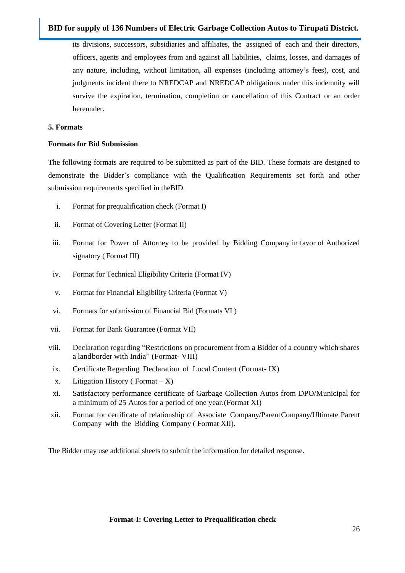its divisions, successors, subsidiaries and affiliates, the assigned of each and their directors, officers, agents and employees from and against all liabilities, claims, losses, and damages of any nature, including, without limitation, all expenses (including attorney"s fees), cost, and judgments incident there to NREDCAP and NREDCAP obligations under this indemnity will survive the expiration, termination, completion or cancellation of this Contract or an order hereunder.

#### <span id="page-25-0"></span>**5. Formats**

#### **Formats for Bid Submission**

The following formats are required to be submitted as part of the BID. These formats are designed to demonstrate the Bidder"s compliance with the Qualification Requirements set forth and other submission requirements specified in theBID.

- i. Format for prequalification check (Format I)
- ii. Format of Covering Letter (Format II)
- iii. Format for Power of Attorney to be provided by Bidding Company in favor of Authorized signatory ( Format III)
- iv. Format for Technical Eligibility Criteria (Format IV)
- v. Format for Financial Eligibility Criteria (Format V)
- vi. Formats for submission of Financial Bid (Formats VI )
- vii. Format for Bank Guarantee (Format VII)
- viii. Declaration regarding "Restrictions on procurement from a Bidder of a country which shares a landborder with India" (Format- VIII)
- ix. Certificate Regarding Declaration of Local Content (Format- IX)
- x. Litigation History ( $\text{Format} X$ )
- xi. Satisfactory performance certificate of Garbage Collection Autos from DPO/Municipal for a minimum of 25 Autos for a period of one year.(Format XI)
- xii. Format for certificate of relationship of Associate Company/ParentCompany/Ultimate Parent Company with the Bidding Company ( Format XII).

<span id="page-25-1"></span>The Bidder may use additional sheets to submit the information for detailed response.

#### **Format-I: Covering Letter to Prequalification check**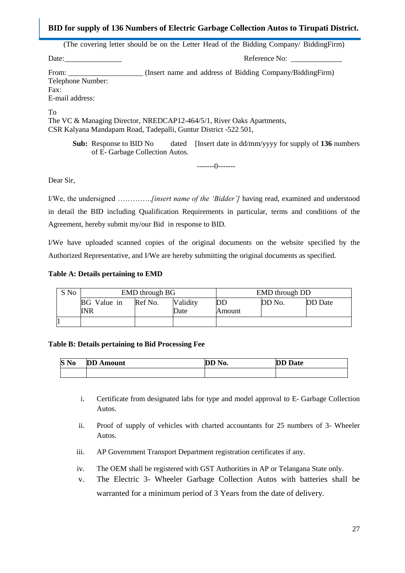(The covering letter should be on the Letter Head of the Bidding Company/ BiddingFirm)

Date: Reference No:

From: (Insert name and address of Bidding Company/BiddingFirm) Telephone Number: Fax:

E-mail address:

To

The VC & Managing Director, NREDCAP12-464/5/1, River Oaks Apartments, CSR Kalyana Mandapam Road, Tadepalli, Guntur District -522 501,

**Sub:** Response to BID No dated [Insert date in dd/mm/yyyy for supply of **136** numbers of E- Garbage Collection Autos.

-------0-------

Dear Sir,

I/We, the undersigned …………..*[insert name of the 'Bidder']* having read, examined and understood in detail the BID including Qualification Requirements in particular, terms and conditions of the Agreement, hereby submit my/our Bid in response to BID.

I/We have uploaded scanned copies of the original documents on the website specified by the Authorized Representative, and I/We are hereby submitting the original documents as specified.

#### **Table A: Details pertaining to EMD**

| S No |                                  | <b>EMD</b> through BG |                  | <b>EMD</b> through DD |        |         |  |  |
|------|----------------------------------|-----------------------|------------------|-----------------------|--------|---------|--|--|
|      | <b>BG</b> Value in<br><b>INR</b> | Ref No.               | Validity<br>Date | DD<br>Amount          | DD No. | DD Date |  |  |
|      |                                  |                       |                  |                       |        |         |  |  |

#### **Table B: Details pertaining to Bid Processing Fee**

| S No | <b>DD</b> Amount | DD No. | <b>DD</b> Date |
|------|------------------|--------|----------------|
|      |                  |        |                |

- i. Certificate from designated labs for type and model approval to E- Garbage Collection Autos.
- ii. Proof of supply of vehicles with charted accountants for 25 numbers of 3- Wheeler Autos.
- iii. AP Government Transport Department registration certificates if any.
- iv. The OEM shall be registered with GST Authorities in AP or Telangana State only.
- v. The Electric 3- Wheeler Garbage Collection Autos with batteries shall be warranted for a minimum period of 3 Years from the date of delivery.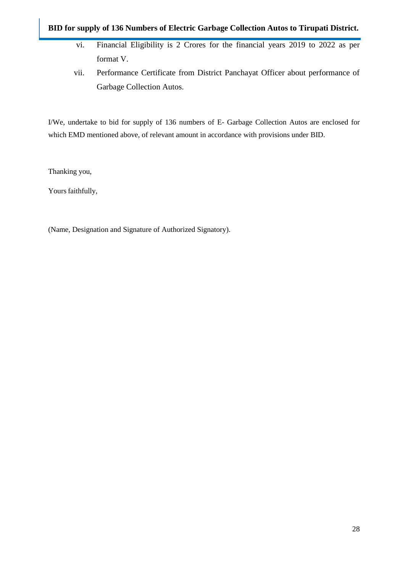- vi. Financial Eligibility is 2 Crores for the financial years 2019 to 2022 as per format V.
- vii. Performance Certificate from District Panchayat Officer about performance of Garbage Collection Autos.

I/We, undertake to bid for supply of 136 numbers of E- Garbage Collection Autos are enclosed for which EMD mentioned above, of relevant amount in accordance with provisions under BID.

Thanking you,

Yours faithfully,

(Name, Designation and Signature of Authorized Signatory).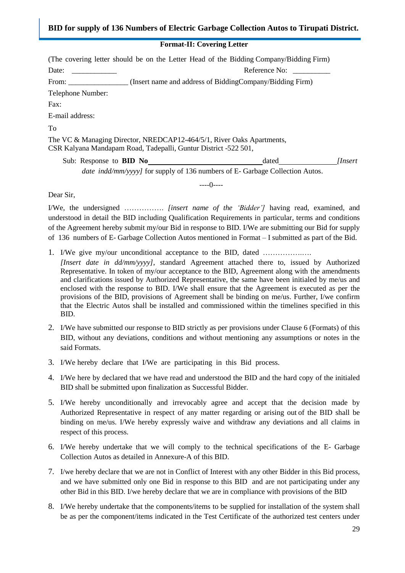## **Format-II: Covering Letter**

(The covering letter should be on the Letter Head of the Bidding Company/Bidding Firm)

Date: **Date: Example 2 Date: Reference No: Reference No: B** 

From: The Company (Insert name and address of BiddingCompany/Bidding Firm)

Telephone Number:

Fax:

E-mail address:

To

The VC & Managing Director, NREDCAP12-464/5/1, River Oaks Apartments, CSR Kalyana Mandapam Road, Tadepalli, Guntur District -522 501,

Sub: Response to **BID No** dated *[Insert*] *date indd/mm/yyyy]* for supply of 136 numbers of E- Garbage Collection Autos.

----0----

Dear Sir,

I/We, the undersigned ……………. *[insert name of the 'Bidder']* having read, examined, and understood in detail the BID including Qualification Requirements in particular, terms and conditions of the Agreement hereby submit my/our Bid in response to BID. I/We are submitting our Bid for supply of 136 numbers of E- Garbage Collection Autos mentioned in Format – I submitted as part of the Bid.

- 1. I/We give my/our unconditional acceptance to the BID, dated …………….….
- *[Insert date in dd/mm/yyyy]*, standard Agreement attached there to, issued by Authorized Representative. In token of my/our acceptance to the BID, Agreement along with the amendments and clarifications issued by Authorized Representative, the same have been initialed by me/us and enclosed with the response to BID. I/We shall ensure that the Agreement is executed as per the provisions of the BID, provisions of Agreement shall be binding on me/us. Further, I/we confirm that the Electric Autos shall be installed and commissioned within the timelines specified in this BID.
- 2. I/We have submitted our response to BID strictly as per provisions under Clause 6 (Formats) of this BID, without any deviations, conditions and without mentioning any assumptions or notes in the said Formats.
- 3. I/We hereby declare that I/We are participating in this Bid process.
- 4. I/We here by declared that we have read and understood the BID and the hard copy of the initialed BID shall be submitted upon finalization as Successful Bidder.
- 5. I/We hereby unconditionally and irrevocably agree and accept that the decision made by Authorized Representative in respect of any matter regarding or arising out of the BID shall be binding on me/us. I/We hereby expressly waive and withdraw any deviations and all claims in respect of this process.
- 6. I/We hereby undertake that we will comply to the technical specifications of the E- Garbage Collection Autos as detailed in Annexure-A of this BID.
- 7. I/we hereby declare that we are not in Conflict of Interest with any other Bidder in this Bid process, and we have submitted only one Bid in response to this BID and are not participating under any other Bid in this BID. I/we hereby declare that we are in compliance with provisions of the BID
- 8. I/We hereby undertake that the components/items to be supplied for installation of the system shall be as per the component/items indicated in the Test Certificate of the authorized test centers under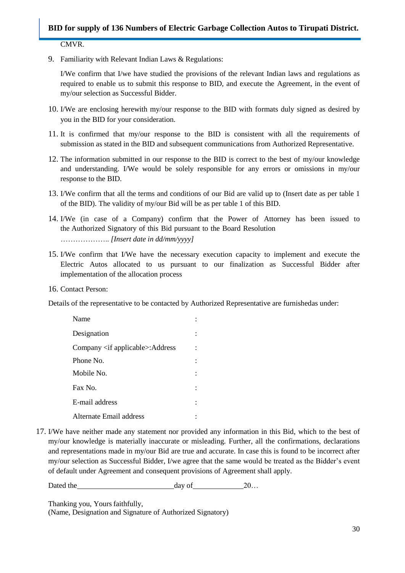#### CMVR.

9. Familiarity with Relevant Indian Laws & Regulations:

I/We confirm that I/we have studied the provisions of the relevant Indian laws and regulations as required to enable us to submit this response to BID, and execute the Agreement, in the event of my/our selection as Successful Bidder.

- 10. I/We are enclosing herewith my/our response to the BID with formats duly signed as desired by you in the BID for your consideration.
- 11. It is confirmed that my/our response to the BID is consistent with all the requirements of submission as stated in the BID and subsequent communications from Authorized Representative.
- 12. The information submitted in our response to the BID is correct to the best of my/our knowledge and understanding. I/We would be solely responsible for any errors or omissions in my/our response to the BID.
- 13. I/We confirm that all the terms and conditions of our Bid are valid up to (Insert date as per table 1 of the BID). The validity of my/our Bid will be as per table 1 of this BID.
- 14. I/We (in case of a Company) confirm that the Power of Attorney has been issued to the Authorized Signatory of this Bid pursuant to the Board Resolution ……………….. *[Insert date in dd/mm/yyyy]*
- 15. I/We confirm that I/We have the necessary execution capacity to implement and execute the Electric Autos allocated to us pursuant to our finalization as Successful Bidder after implementation of the allocation process
- 16. Contact Person:

Details of the representative to be contacted by Authorized Representative are furnishedas under:

| Name                                          |  |
|-----------------------------------------------|--|
| Designation                                   |  |
| Company $\langle$ if applicable $>$ : Address |  |
| Phone No.                                     |  |
| Mobile No.                                    |  |
| Fax No.                                       |  |
| E-mail address                                |  |
| Alternate Email address                       |  |

17. I/We have neither made any statement nor provided any information in this Bid, which to the best of my/our knowledge is materially inaccurate or misleading. Further, all the confirmations, declarations and representations made in my/our Bid are true and accurate. In case this is found to be incorrect after my/our selection as Successful Bidder, I/we agree that the same would be treated as the Bidder"s event of default under Agreement and consequent provisions of Agreement shall apply.

Dated the day of 20...

Thanking you, Yours faithfully,

(Name, Designation and Signature of Authorized Signatory)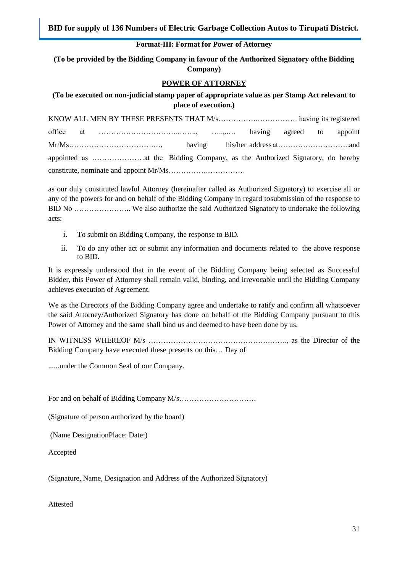#### **Format-III: Format for Power of Attorney**

**(To be provided by the Bidding Company in favour of the Authorized Signatory ofthe Bidding Company)**

#### **POWER OF ATTORNEY**

**(To be executed on non-judicial stamp paper of appropriate value as per Stamp Act relevant to place of execution.)**

as our duly constituted lawful Attorney (hereinafter called as Authorized Signatory) to exercise all or any of the powers for and on behalf of the Bidding Company in regard tosubmission of the response to BID No …………………**.**. We also authorize the said Authorized Signatory to undertake the following acts:

- i. To submit on Bidding Company, the response to BID.
- ii. To do any other act or submit any information and documents related to the above response to BID.

It is expressly understood that in the event of the Bidding Company being selected as Successful Bidder, this Power of Attorney shall remain valid, binding, and irrevocable until the Bidding Company achieves execution of Agreement.

We as the Directors of the Bidding Company agree and undertake to ratify and confirm all whatsoever the said Attorney/Authorized Signatory has done on behalf of the Bidding Company pursuant to this Power of Attorney and the same shall bind us and deemed to have been done by us.

IN WITNESS WHEREOF M/s ………………………………………….……., as the Director of the Bidding Company have executed these presents on this… Day of

......under the Common Seal of our Company.

For and on behalf of Bidding Company M/s………………………….

(Signature of person authorized by the board)

(Name DesignationPlace: Date:)

Accepted

(Signature, Name, Designation and Address of the Authorized Signatory)

Attested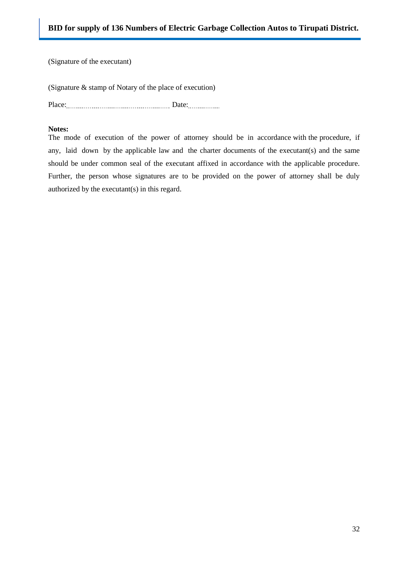(Signature of the executant)

(Signature & stamp of Notary of the place of execution)

Place: Date:

#### **Notes:**

The mode of execution of the power of attorney should be in accordance with the procedure, if any, laid down by the applicable law and the charter documents of the executant(s) and the same should be under common seal of the executant affixed in accordance with the applicable procedure. Further, the person whose signatures are to be provided on the power of attorney shall be duly authorized by the executant(s) in this regard.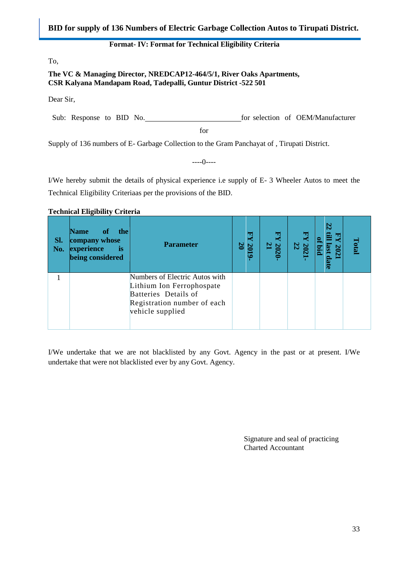#### **Format- IV: Format for Technical Eligibility Criteria**

<span id="page-32-0"></span>To,

#### **The VC & Managing Director, NREDCAP12-464/5/1, River Oaks Apartments, CSR Kalyana Mandapam Road, Tadepalli, Guntur District -522 501**

Dear Sir,

Sub: Response to BID No. for selection of OEM/Manufacturer

for

Supply of 136 numbers of E- Garbage Collection to the Gram Panchayat of , Tirupati District.

----0----

I/We hereby submit the details of physical experience i.e supply of E- 3 Wheeler Autos to meet the Technical Eligibility Criteriaas per the provisions of the BID.

#### **Technical Eligibility Criteria**

| Sl.<br>No. | <b>Name</b><br><sup>of</sup><br>the<br>company whose<br>experience<br><b>is</b><br>being considered | <b>Parameter</b>                                                                                                                       | 国<br>ю<br>$\mathbb Z$<br>Ø | ودا<br>$\mathbf{z}$<br>N | $\frac{202}{22}$ | æ | <b>Otal</b> |
|------------|-----------------------------------------------------------------------------------------------------|----------------------------------------------------------------------------------------------------------------------------------------|----------------------------|--------------------------|------------------|---|-------------|
|            |                                                                                                     | Numbers of Electric Autos with<br>Lithium Ion Ferrophospate<br>Batteries Details of<br>Registration number of each<br>vehicle supplied |                            |                          |                  |   |             |

I/We undertake that we are not blacklisted by any Govt. Agency in the past or at present. I/We undertake that were not blacklisted ever by any Govt. Agency.

> Signature and seal of practicing Charted Accountant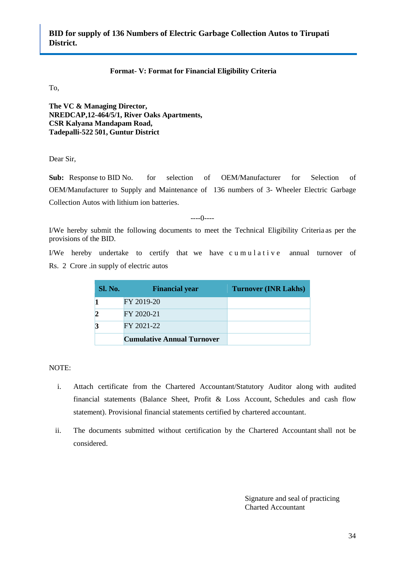#### **Format- V: Format for Financial Eligibility Criteria**

<span id="page-33-0"></span>To,

**The VC & Managing Director, NREDCAP,12-464/5/1, River Oaks Apartments, CSR Kalyana Mandapam Road, Tadepalli-522 501, Guntur District**

Dear Sir,

**Sub:** Response to BID No. for selection of OEM/Manufacturer for Selection of OEM/Manufacturer to Supply and Maintenance of 136 numbers of 3- Wheeler Electric Garbage Collection Autos with lithium ion batteries.

----0----

I/We hereby submit the following documents to meet the Technical Eligibility Criteria as per the provisions of the BID.

I/We hereby undertake to certify that we have cumulative annual turnover of Rs. 2 Crore .in supply of electric autos

| Sl. No. | <b>Financial year</b>             | <b>Turnover (INR Lakhs)</b> |
|---------|-----------------------------------|-----------------------------|
|         | FY 2019-20                        |                             |
|         | FY 2020-21                        |                             |
|         | FY 2021-22                        |                             |
|         | <b>Cumulative Annual Turnover</b> |                             |

NOTE:

- i. Attach certificate from the Chartered Accountant/Statutory Auditor along with audited financial statements (Balance Sheet, Profit & Loss Account, Schedules and cash flow statement). Provisional financial statements certified by chartered accountant.
- ii. The documents submitted without certification by the Chartered Accountant shall not be considered.

Signature and seal of practicing Charted Accountant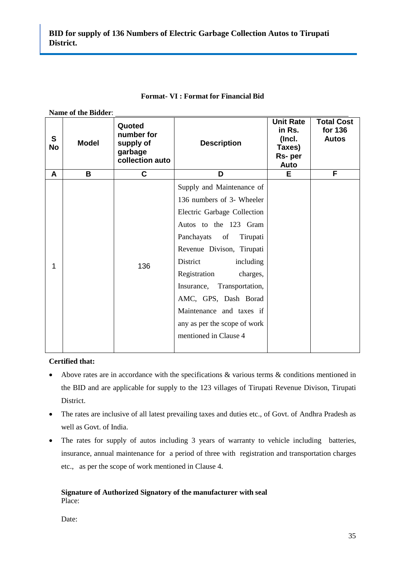<span id="page-34-0"></span>

|                           | Name of the Bidder: |                                                                 |                                                                                                                                                                                                                                                                                                                                                                          |                                                                  |                                              |  |
|---------------------------|---------------------|-----------------------------------------------------------------|--------------------------------------------------------------------------------------------------------------------------------------------------------------------------------------------------------------------------------------------------------------------------------------------------------------------------------------------------------------------------|------------------------------------------------------------------|----------------------------------------------|--|
| $\mathbf{s}$<br><b>No</b> | <b>Model</b>        | Quoted<br>number for<br>supply of<br>garbage<br>collection auto | <b>Description</b>                                                                                                                                                                                                                                                                                                                                                       | <b>Unit Rate</b><br>in Rs.<br>(Incl.<br>Taxes)<br>Rs-per<br>Auto | <b>Total Cost</b><br>for 136<br><b>Autos</b> |  |
| A                         | B                   | C                                                               | D                                                                                                                                                                                                                                                                                                                                                                        | Е                                                                | F                                            |  |
| 1                         |                     | 136                                                             | Supply and Maintenance of<br>136 numbers of 3- Wheeler<br>Electric Garbage Collection<br>Autos to the 123 Gram<br>Panchayats of<br>Tirupati<br>Revenue Divison, Tirupati<br>District<br>including<br>Registration<br>charges,<br>Insurance, Transportation,<br>AMC, GPS, Dash Borad<br>Maintenance and taxes if<br>any as per the scope of work<br>mentioned in Clause 4 |                                                                  |                                              |  |

#### **Format- VI : Format for Financial Bid**

#### **Certified that:**

- Above rates are in accordance with the specifications & various terms & conditions mentioned in the BID and are applicable for supply to the 123 villages of Tirupati Revenue Divison, Tirupati District.
- The rates are inclusive of all latest prevailing taxes and duties etc., of Govt. of Andhra Pradesh as well as Govt. of India.
- The rates for supply of autos including 3 years of warranty to vehicle including batteries, insurance, annual maintenance for a period of three with registration and transportation charges etc., as per the scope of work mentioned in Clause 4.

#### **Signature of Authorized Signatory of the manufacturer with seal** Place:

Date: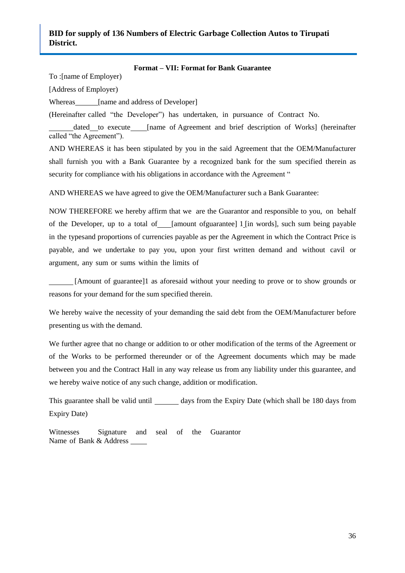#### **Format – VII: Format for Bank Guarantee**

<span id="page-35-0"></span>To :[name of Employer)

[Address of Employer)

Whereas [name and address of Developer]

(Hereinafter called "the Developer") has undertaken, in pursuance of Contract No.

dated to execute [name of Agreement and brief description of Works] (hereinafter called "the Agreement").

AND WHEREAS it has been stipulated by you in the said Agreement that the OEM/Manufacturer shall furnish you with a Bank Guarantee by a recognized bank for the sum specified therein as security for compliance with his obligations in accordance with the Agreement "

AND WHEREAS we have agreed to give the OEM/Manufacturer such a Bank Guarantee:

NOW THEREFORE we hereby affirm that we are the Guarantor and responsible to you, on behalf of the Developer, up to a total of [amount ofguarantee] 1 [in words], such sum being payable in the typesand proportions of currencies payable as per the Agreement in which the Contract Price is payable, and we undertake to pay you, upon your first written demand and without cavil or argument, any sum or sums within the limits of

[Amount of guarantee]1 as aforesaid without your needing to prove or to show grounds or reasons for your demand for the sum specified therein.

We hereby waive the necessity of your demanding the said debt from the OEM/Manufacturer before presenting us with the demand.

We further agree that no change or addition to or other modification of the terms of the Agreement or of the Works to be performed thereunder or of the Agreement documents which may be made between you and the Contract Hall in any way release us from any liability under this guarantee, and we hereby waive notice of any such change, addition or modification.

This guarantee shall be valid until days from the Expiry Date (which shall be 180 days from Expiry Date)

Witnesses Signature and seal of the Guarantor Name of Bank & Address  $\frac{1}{2}$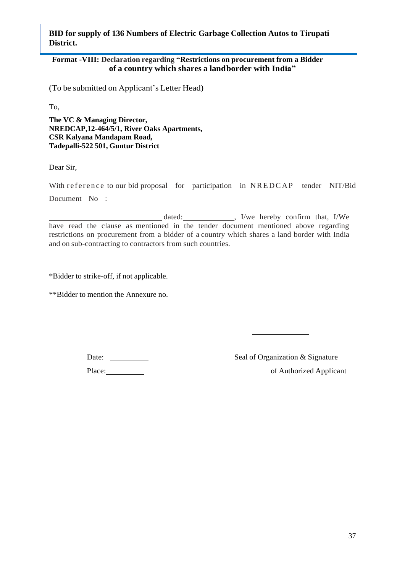### <span id="page-36-0"></span>**Format -VIII: Declaration regarding "Restrictions on procurement from a Bidder of a country which shares a landborder with India"**

(To be submitted on Applicant"s Letter Head)

To,

**The VC & Managing Director, NREDCAP,12-464/5/1, River Oaks Apartments, CSR Kalyana Mandapam Road, Tadepalli-522 501, Guntur District**

Dear Sir,

With reference to our bid proposal for participation in NREDCAP tender NIT/Bid Document No :

dated: \_\_\_\_\_\_\_\_\_\_\_\_\_\_, I/we hereby confirm that, I/We have read the clause as mentioned in the tender document mentioned above regarding restrictions on procurement from a bidder of a country which shares a land border with India and on sub-contracting to contractors from such countries.

\*Bidder to strike-off, if not applicable.

\*\*Bidder to mention the Annexure no.

Place: of Authorized Applicant

Date: Seal of Organization & Signature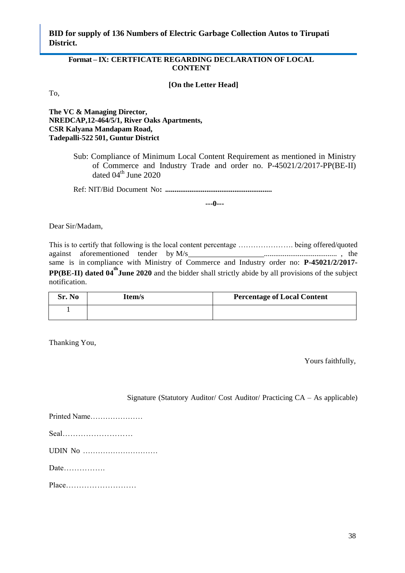#### <span id="page-37-0"></span>**Format – IX: CERTFICATE REGARDING DECLARATION OF LOCAL CONTENT**

**[On the Letter Head]**

To,

**The VC & Managing Director, NREDCAP,12-464/5/1, River Oaks Apartments, CSR Kalyana Mandapam Road, Tadepalli-522 501, Guntur District**

> Sub: Compliance of Minimum Local Content Requirement as mentioned in Ministry of Commerce and Industry Trade and order no. P-45021/2/2017-PP(BE-II) dated  $04^{\text{th}}$  June 2020

Ref: NIT/Bid Document No**: .........................................................**

**---0---**

Dear Sir/Madam,

This is to certify that following is the local content percentage …………………. being offered/quoted against aforementioned tender by M/s ....................................... , the same is in compliance with Ministry of Commerce and Industry order no: **P-45021/2/2017- PP(BE-II)** dated 04<sup>th</sup> June 2020 and the bidder shall strictly abide by all provisions of the subject notification.

| Sr. No | Item/s | <b>Percentage of Local Content</b> |
|--------|--------|------------------------------------|
|        |        |                                    |

Thanking You,

Yours faithfully,

Signature (Statutory Auditor/ Cost Auditor/ Practicing CA – As applicable)

| Printed Name |
|--------------|
|              |
| UDIN No      |
|              |

Place………………………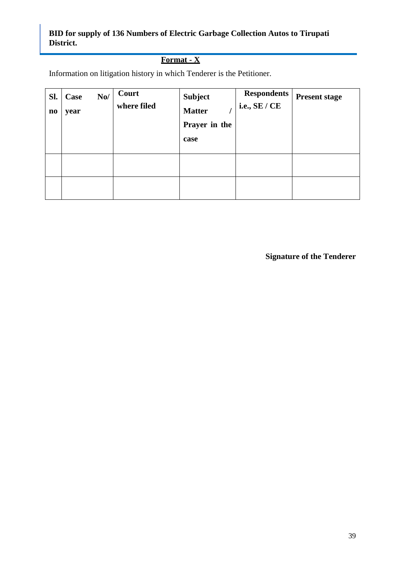## **Format - X**

Information on litigation history in which Tenderer is the Petitioner.

<span id="page-38-0"></span>

| SI.<br>$\mathbf{n}\mathbf{o}$ | Case<br>year | $\bf No/$ | Court<br>where filed | <b>Subject</b><br><b>Matter</b><br>Prayer in the<br>case | <b>Respondents</b><br>i.e., $SE / CE$ | <b>Present stage</b> |
|-------------------------------|--------------|-----------|----------------------|----------------------------------------------------------|---------------------------------------|----------------------|
|                               |              |           |                      |                                                          |                                       |                      |
|                               |              |           |                      |                                                          |                                       |                      |

**Signature of the Tenderer**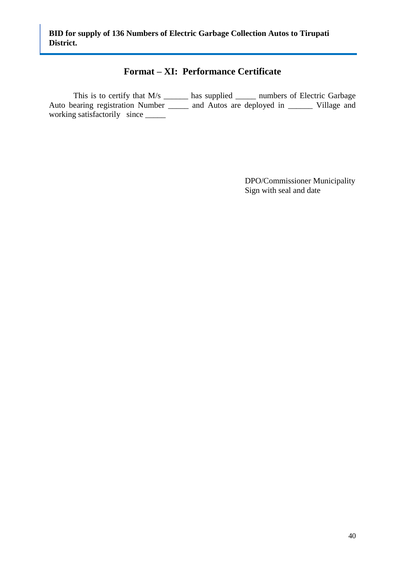## **Format – XI: Performance Certificate**

This is to certify that  $M/s$  \_\_\_\_\_\_\_ has supplied \_\_\_\_\_\_ numbers of Electric Garbage Auto bearing registration Number \_\_\_\_\_ and Autos are deployed in \_\_\_\_\_\_ Village and working satisfactorily since \_\_\_\_\_\_

> DPO/Commissioner Municipality Sign with seal and date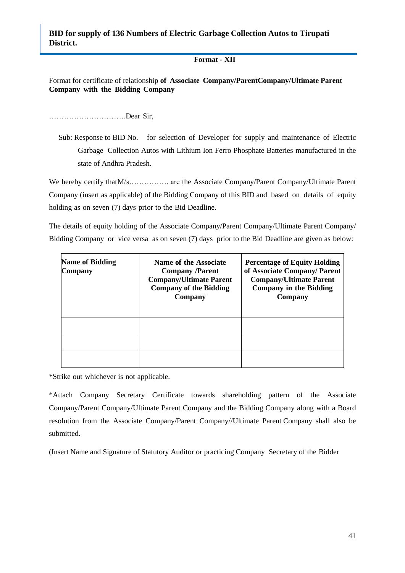#### **Format - XII**

Format for certificate of relationship **of Associate Company/ParentCompany/Ultimate Parent Company with the Bidding Company**

………………………….Dear Sir,

Sub: Response to BID No. for selection of Developer for supply and maintenance of Electric Garbage Collection Autos with Lithium Ion Ferro Phosphate Batteries manufactured in the state of Andhra Pradesh.

We hereby certify that M/s………….. are the Associate Company/Parent Company/Ultimate Parent Company (insert as applicable) of the Bidding Company of this BID and based on details of equity holding as on seven (7) days prior to the Bid Deadline.

The details of equity holding of the Associate Company/Parent Company/Ultimate Parent Company/ Bidding Company or vice versa as on seven (7) days prior to the Bid Deadline are given as below:

| <b>Name of Bidding</b><br><b>Company</b> | Name of the Associate<br><b>Company /Parent</b><br><b>Company/Ultimate Parent</b><br><b>Company of the Bidding</b><br>Company | <b>Percentage of Equity Holding</b><br>of Associate Company/ Parent<br><b>Company/Ultimate Parent</b><br><b>Company in the Bidding</b><br>Company |
|------------------------------------------|-------------------------------------------------------------------------------------------------------------------------------|---------------------------------------------------------------------------------------------------------------------------------------------------|
|                                          |                                                                                                                               |                                                                                                                                                   |
|                                          |                                                                                                                               |                                                                                                                                                   |
|                                          |                                                                                                                               |                                                                                                                                                   |

\*Strike out whichever is not applicable.

\*Attach Company Secretary Certificate towards shareholding pattern of the Associate Company/Parent Company/Ultimate Parent Company and the Bidding Company along with a Board resolution from the Associate Company/Parent Company//Ultimate Parent Company shall also be submitted.

(Insert Name and Signature of Statutory Auditor or practicing Company Secretary of the Bidder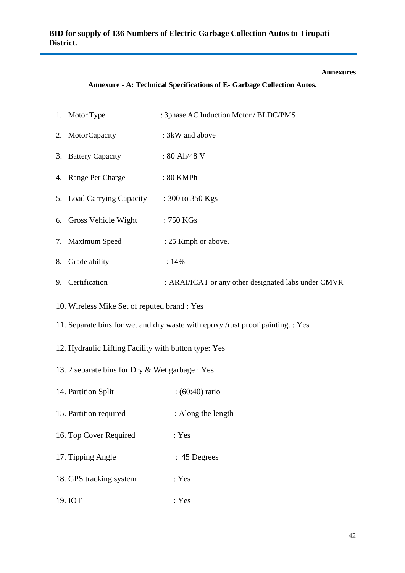#### **Annexures**

#### **Annexure - A: Technical Specifications of E- Garbage Collection Autos.**

<span id="page-41-0"></span>

|  | 1. Motor Type | : 3phase AC Induction Motor / BLDC/PMS |
|--|---------------|----------------------------------------|
|--|---------------|----------------------------------------|

- 2. MotorCapacity : 3kW and above
- 3. Battery Capacity : 80 Ah/48 V
- 4. Range Per Charge : 80 KMPh
- 5. Load Carrying Capacity : 300 to 350 Kgs
- 6. Gross Vehicle Wight : 750 KGs
- 7. Maximum Speed : 25 Kmph or above.
- 8. Grade ability : 14%
- 9. Certification : ARAI/ICAT or any other designated labs under CMVR
- 10. Wireless Mike Set of reputed brand : Yes
- 11. Separate bins for wet and dry waste with epoxy /rust proof painting. : Yes
- 12. Hydraulic Lifting Facility with button type: Yes
- 13. 2 separate bins for Dry & Wet garbage : Yes
- 14. Partition Split : (60:40) ratio
- 15. Partition required : Along the length
- 16. Top Cover Required : Yes
- 17. Tipping Angle : 45 Degrees
- 18. GPS tracking system : Yes
- 19. IOT : Yes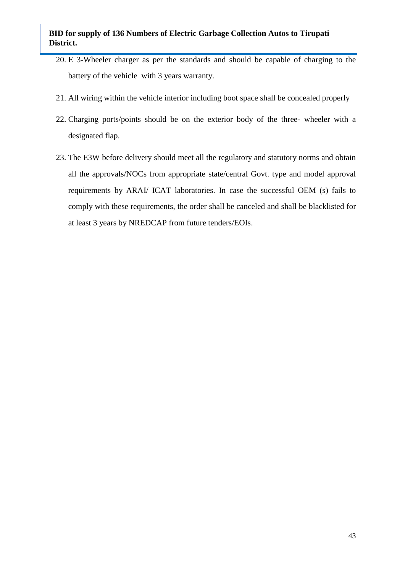- 20. E 3-Wheeler charger as per the standards and should be capable of charging to the battery of the vehicle with 3 years warranty.
- 21. All wiring within the vehicle interior including boot space shall be concealed properly
- 22. Charging ports/points should be on the exterior body of the three- wheeler with a designated flap.
- 23. The E3W before delivery should meet all the regulatory and statutory norms and obtain all the approvals/NOCs from appropriate state/central Govt. type and model approval requirements by ARAI/ ICAT laboratories. In case the successful OEM (s) fails to comply with these requirements, the order shall be canceled and shall be blacklisted for at least 3 years by NREDCAP from future tenders/EOIs.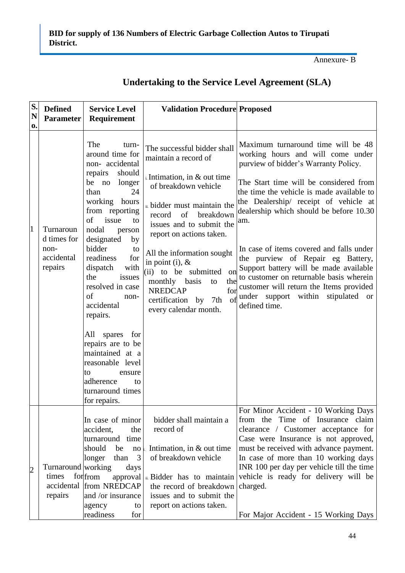Annexure- B

| S.<br>N        | <b>Defined</b><br><b>Parameter</b> | <b>Service Level</b><br>Requirement                                                                                               | <b>Validation Procedure Proposed</b>                                                                                                                                                         |                                                                                                                                                                                                                                                                      |
|----------------|------------------------------------|-----------------------------------------------------------------------------------------------------------------------------------|----------------------------------------------------------------------------------------------------------------------------------------------------------------------------------------------|----------------------------------------------------------------------------------------------------------------------------------------------------------------------------------------------------------------------------------------------------------------------|
| 0.             |                                    |                                                                                                                                   |                                                                                                                                                                                              |                                                                                                                                                                                                                                                                      |
|                |                                    | The<br>turn-<br>around time for<br>non-accidental                                                                                 | The successful bidder shall<br>maintain a record of                                                                                                                                          | Maximum turnaround time will be 48<br>working hours and will come under<br>purview of bidder's Warranty Policy.                                                                                                                                                      |
|                |                                    | repairs<br>should<br>be no longer<br>24<br>than<br>working hours                                                                  | $\alpha$ . Intimation, in & out time<br>of breakdown vehicle                                                                                                                                 | The Start time will be considered from<br>the time the vehicle is made available to<br>the Dealership/ receipt of vehicle at                                                                                                                                         |
| 1              | Turnaroun<br>d times for           | from reporting<br>issue<br>of<br>to<br>nodal<br>person<br>designated<br>by                                                        | ii. bidder must maintain the<br>of<br>breakdown<br>record<br>issues and to submit the<br>report on actions taken.                                                                            | dealership which should be before 10.30<br>am.                                                                                                                                                                                                                       |
|                | non-<br>accidental<br>repairs      | bidder<br>to<br>readiness<br>for<br>dispatch<br>with<br>the<br>issues<br>resolved in case<br>of<br>non-<br>accidental<br>repairs. | All the information sought<br>in point (i), $\&$<br>(ii) to be submitted<br>on<br>the<br>monthly basis<br>to<br><b>NREDCAP</b><br>for<br>certification by 7th<br>of<br>every calendar month. | In case of items covered and falls under<br>the purview of Repair eg Battery,<br>Support battery will be made available<br>to customer on returnable basis wherein<br>customer will return the Items provided<br>under support within stipulated or<br>defined time. |
|                |                                    | All spares for<br>repairs are to be<br>maintained at a<br>reasonable level                                                        |                                                                                                                                                                                              |                                                                                                                                                                                                                                                                      |
|                |                                    | to<br>ensure<br>adherence<br>to<br>turnaround times<br>for repairs.                                                               |                                                                                                                                                                                              |                                                                                                                                                                                                                                                                      |
|                |                                    | In case of minor<br>accident,<br>the<br>turnaround time                                                                           | bidder shall maintain a<br>record of                                                                                                                                                         | For Minor Accident - 10 Working Days<br>from the Time of Insurance claim<br>clearance / Customer acceptance for<br>Case were Insurance is not approved,                                                                                                              |
|                |                                    | should<br>be<br>$\rm no$                                                                                                          | Intimation, in $&$ out time                                                                                                                                                                  | must be received with advance payment.                                                                                                                                                                                                                               |
|                |                                    | 3<br>longer<br>than                                                                                                               | of breakdown vehicle                                                                                                                                                                         | In case of more than 10 working days                                                                                                                                                                                                                                 |
| $\overline{c}$ | Turnaround working<br>times        | days<br>forfrom<br>approval                                                                                                       | ii. Bidder has to maintain                                                                                                                                                                   | INR 100 per day per vehicle till the time<br>vehicle is ready for delivery will be                                                                                                                                                                                   |
|                | accidental                         | from NREDCAP                                                                                                                      | the record of breakdown                                                                                                                                                                      | charged.                                                                                                                                                                                                                                                             |
|                | repairs                            | and /or insurance                                                                                                                 | issues and to submit the                                                                                                                                                                     |                                                                                                                                                                                                                                                                      |
|                |                                    | agency<br>to                                                                                                                      | report on actions taken.                                                                                                                                                                     |                                                                                                                                                                                                                                                                      |
|                |                                    | readiness<br>for                                                                                                                  |                                                                                                                                                                                              | For Major Accident - 15 Working Days                                                                                                                                                                                                                                 |

## **Undertaking to the Service Level Agreement (SLA)**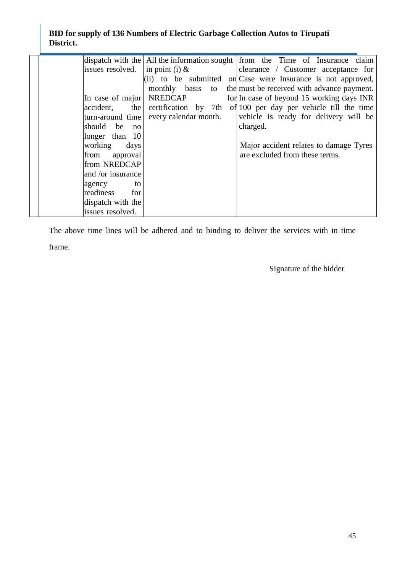|                                |                       | dispatch with the All the information sought $\parallel$ from the Time of Insurance claim |
|--------------------------------|-----------------------|-------------------------------------------------------------------------------------------|
| issues resolved.               | in point (i) $\&$     | clearance / Customer acceptance for                                                       |
|                                |                       | (ii) to be submitted on Case were Insurance is not approved,                              |
|                                | monthly basis to      | the must be received with advance payment.                                                |
| In case of major               | <b>NREDCAP</b>        | for In case of beyond 15 working days INR                                                 |
| the<br>accident,               | certification by 7th  | of 100 per day per vehicle till the time                                                  |
| turn-around time               | every calendar month. | vehicle is ready for delivery will be                                                     |
| should<br>be<br>n <sub>O</sub> |                       | charged.                                                                                  |
| longer than 10                 |                       |                                                                                           |
| working<br>days                |                       | Major accident relates to damage Tyres                                                    |
| from<br>approval               |                       | are excluded from these terms.                                                            |
| from NREDCAP                   |                       |                                                                                           |
| and /or insurance              |                       |                                                                                           |
| agency<br>to                   |                       |                                                                                           |
| readiness<br>for               |                       |                                                                                           |
| dispatch with the              |                       |                                                                                           |
| issues resolved.               |                       |                                                                                           |

The above time lines will be adhered and to binding to deliver the services with in time frame.

Signature of the bidder